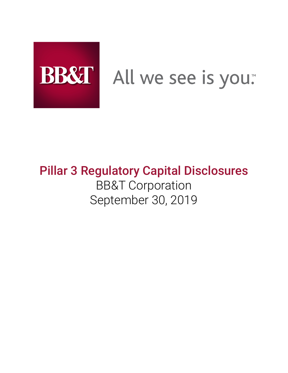

# BB&T All we see is you.

# **Pillar 3 Regulatory Capital Disclosures** BB&T Corporation September 30, 2019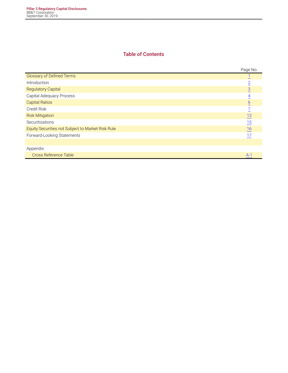#### **Table of Contents**

|                                                   | Page No.         |
|---------------------------------------------------|------------------|
| <b>Glossary of Defined Terms</b>                  |                  |
| Introduction                                      | $\overline{2}$   |
| <b>Regulatory Capital</b>                         | $\overline{3}$   |
| Capital Adequacy Process                          | 4                |
| <b>Capital Ratios</b>                             | $\underline{6}$  |
| Credit Risk                                       | 7                |
| <b>Risk Mitigation</b>                            | 13               |
| Securitizations                                   | 15               |
| Equity Securities not Subject to Market Risk Rule | $\underline{16}$ |
| Forward-Looking Statements                        | 17               |
|                                                   |                  |
| Appendix:                                         |                  |
| <b>Cross Reference Table</b>                      | $A-1$            |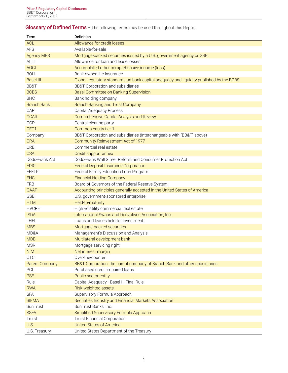# <span id="page-2-0"></span>**Glossary of Defined Terms** – The following terms may be used throughout this Report:

| Term                  | <b>Definition</b>                                                                        |
|-----------------------|------------------------------------------------------------------------------------------|
| <b>ACL</b>            | Allowance for credit losses                                                              |
| <b>AFS</b>            | Available-for-sale                                                                       |
| <b>Agency MBS</b>     | Mortgage-backed securities issued by a U.S. government agency or GSE                     |
| <b>ALLL</b>           | Allowance for loan and lease losses                                                      |
| <b>AOCI</b>           | Accumulated other comprehensive income (loss)                                            |
| <b>BOLI</b>           | Bank-owned life insurance                                                                |
| <b>Basel III</b>      | Global regulatory standards on bank capital adequacy and liquidity published by the BCBS |
| BB&T                  | <b>BB&amp;T Corporation and subsidiaries</b>                                             |
| <b>BCBS</b>           | Basel Committee on Banking Supervision                                                   |
| <b>BHC</b>            | Bank holding company                                                                     |
| <b>Branch Bank</b>    | <b>Branch Banking and Trust Company</b>                                                  |
| CAP                   | Capital Adequacy Process                                                                 |
| <b>CCAR</b>           | Comprehensive Capital Analysis and Review                                                |
| CCP                   | Central clearing party                                                                   |
| CET1                  | Common equity tier 1                                                                     |
| Company               | BB&T Corporation and subsidiaries (interchangeable with "BB&T" above)                    |
| <b>CRA</b>            | Community Reinvestment Act of 1977                                                       |
| CRE                   | Commercial real estate                                                                   |
| <b>CSA</b>            | Credit support annex                                                                     |
| Dodd-Frank Act        | Dodd-Frank Wall Street Reform and Consumer Protection Act                                |
| <b>FDIC</b>           | <b>Federal Deposit Insurance Corporation</b>                                             |
| <b>FFELP</b>          | Federal Family Education Loan Program                                                    |
| <b>FHC</b>            | <b>Financial Holding Company</b>                                                         |
| <b>FRB</b>            | Board of Governors of the Federal Reserve System                                         |
| <b>GAAP</b>           | Accounting principles generally accepted in the United States of America                 |
| <b>GSE</b>            | U.S. government-sponsored enterprise                                                     |
| <b>HTM</b>            | Held-to-maturity                                                                         |
| <b>HVCRE</b>          | High volatility commercial real estate                                                   |
| <b>ISDA</b>           | International Swaps and Derivatives Association, Inc.                                    |
| <b>LHFI</b>           | Loans and leases held for investment                                                     |
| <b>MBS</b>            | Mortgage-backed securities                                                               |
| MD&A                  | Management's Discussion and Analysis                                                     |
| <b>MDB</b>            | Multilateral development bank                                                            |
| <b>MSR</b>            | Mortgage servicing right                                                                 |
| <b>NIM</b>            | Net interest margin                                                                      |
| <b>OTC</b>            | Over-the-counter                                                                         |
| <b>Parent Company</b> | BB&T Corporation, the parent company of Branch Bank and other subsidiaries               |
| PCI                   | Purchased credit impaired loans                                                          |
| <b>PSE</b>            | Public sector entity                                                                     |
| Rule                  | Capital Adequacy - Basel III Final Rule                                                  |
| <b>RWA</b>            | Risk-weighted assets                                                                     |
| <b>SFA</b>            | Supervisory Formula Approach                                                             |
| <b>SIFMA</b>          | Securities Industry and Financial Markets Association                                    |
| SunTrust              | SunTrust Banks, Inc.                                                                     |
| <b>SSFA</b>           | Simplified Supervisory Formula Approach                                                  |
| Truist                | <b>Truist Financial Corporation</b>                                                      |
| U.S.                  | <b>United States of America</b>                                                          |
| U.S. Treasury         | United States Department of the Treasury                                                 |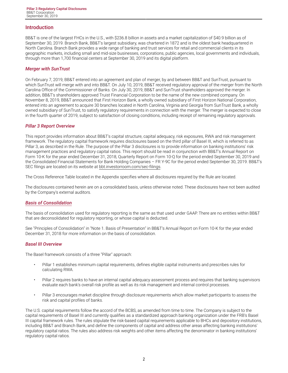#### <span id="page-3-0"></span>**Introduction**

BB&T is one of the largest FHCs in the U.S., with \$236.8 billion in assets and a market capitalization of \$40.9 billion as of September 30, 2019. Branch Bank, BB&T's largest subsidiary, was chartered in 1872 and is the oldest bank headquartered in North Carolina. Branch Bank provides a wide range of banking and trust services for retail and commercial clients in its geographic markets, including small and mid-size businesses, corporations, public agencies, local governments and individuals, through more than 1,700 financial centers at September 30, 2019 and its digital platform.

#### *Merger with SunTrust*

On February 7, 2019, BB&T entered into an agreement and plan of merger, by and between BB&T and SunTrust, pursuant to which SunTrust will merge with and into BB&T. On July 10, 2019, BB&T received regulatory approval of the merger from the North Carolina Office of the Commissioner of Banks. On July 30, 2019, BB&T and SunTrust shareholders approved the merger. In addition, BB&T's shareholders approved Truist Financial Corporation to be the name of the new combined company. On November 8, 2019, BB&T announced that First Horizon Bank, a wholly owned subsidiary of First Horizon National Corporation, entered into an agreement to acquire 30 branches located in North Carolina, Virginia and Georgia from SunTrust Bank, a wholly owned subsidiary of SunTrust, to satisfy regulatory requirements in connection with the merger. The merger is expected to close in the fourth quarter of 2019, subject to satisfaction of closing conditions, including receipt of remaining regulatory approvals.

#### *Pillar 3 Report Overview*

This report provides information about BB&T's capital structure, capital adequacy, risk exposures, RWA and risk management framework. The regulatory capital framework requires disclosures based on the third pillar of Basel III, which is referred to as Pillar 3, as described in the Rule. The purpose of the Pillar 3 disclosures is to provide information on banking institutions' risk management practices and regulatory capital ratios. This report should be read in conjunction with BB&T's Annual Report on Form 10-K for the year ended December 31, 2018, Quarterly Report on Form 10-Q for the period ended September 30, 2019 and the Consolidated Financial Statements for Bank Holding Companies – FR Y-9C for the period ended September 30, 2019. BB&T's SEC filings are located on its website at [bbt.investorroom.com/sec-filings](http://bbt.investorroom.com/sec-filings)**.**

The Cross Reference Table located in the Appendix specifies where all disclosures required by the Rule are located.

The disclosures contained herein are on a consolidated basis, unless otherwise noted. These disclosures have not been audited by the Company's external auditors.

#### *Basis of Consolidation*

The basis of consolidation used for regulatory reporting is the same as that used under GAAP. There are no entities within BB&T that are deconsolidated for regulatory reporting, or whose capital is deducted.

See "Principles of Consolidation" in "Note 1. Basis of Presentation" in BB&T's Annual Report on Form 10-K for the year ended December 31, 2018 for more information on the basis of consolidation.

#### *Basel III Overview*

The Basel framework consists of a three "Pillar" approach:

- Pillar 1 establishes minimum capital requirements, defines eligible capital instruments and prescribes rules for calculating RWA.
- Pillar 2 requires banks to have an internal capital adequacy assessment process and requires that banking supervisors evaluate each bank's overall risk profile as well as its risk management and internal control processes.
- Pillar 3 encourages market discipline through disclosure requirements which allow market participants to assess the risk and capital profiles of banks.

The U.S. capital requirements follow the accord of the BCBS, as amended from time to time. The Company is subject to the capital requirements of Basel III and currently qualifies as a standardized approach banking organization under the FRB's Basel III capital framework rules. The rules stipulate the risk-based capital requirements applicable to BHCs and depository institutions, including BB&T and Branch Bank, and define the components of capital and address other areas affecting banking institutions' regulatory capital ratios. The rules also address risk weights and other items affecting the denominator in banking institutions' regulatory capital ratios.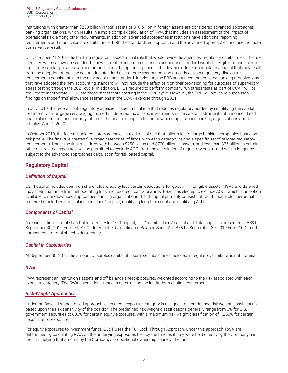<span id="page-4-0"></span>Institutions with greater than \$250 billion in total assets or \$10 billion in foreign assets are considered advanced approaches banking organizations, which results in a more complex calculation of RWA that includes an assessment of the impact of operational risk, among other requirements. In addition, advanced approaches institutions have additional reporting requirements and must calculate capital under both the standardized approach and the advanced approaches and use the more conservative result.

On December 21, 2018, the banking regulators issued a final rule that would revise the agencies' regulatory capital rules. The rule identifies which allowances under the new current expected credit losses accounting standard would be eligible for inclusion in regulatory capital, provides banking organizations the option to phase in the day-one effects on regulatory capital that may result from the adoption of the new accounting standard over a three year period, and amends certain regulatory disclosure requirements consistent with the new accounting standard. In addition, the FRB announced that covered banking organizations that have adopted the new accounting standard will not include the effect of it on their provisioning for purposes of supervisory stress testing through the 2021 cycle. In addition, BHCs required to perform company-run stress tests as part of CCAR will be required to incorporate CECL into those stress tests starting in the 2020 cycle. However, the FRB will not issue supervisory findings on those firms' allowance estimations in the CCAR exercise through 2021.

In July 2019, the federal bank regulatory agencies issued a final rule that reduces regulatory burden by simplifying the capital treatment for mortgage servicing rights, certain deferred tax assets, investments in the capital instruments of unconsolidated financial institutions and minority interest. The final rule applies to non-advanced approaches banking organizations and is effective April 1, 2020.

In October 2019, the federal bank regulatory agencies issued a final rule that tailor rules for large banking companies based on risk profile. The final rule creates five broad categories of firms, with each category having a specific set of tailored regulatory requirements. Under the final rule, firms with between \$250 billion and \$700 billion in assets, and less than \$75 billion in certain other risk-related exposures, will be permitted to exclude AOCI from the calculation of regulatory capital and will no longer be subject to the advanced approaches calculation for risk-based capital.

#### **Regulatory Capital**

#### *Definition of Capital*

CET1 capital includes common shareholders' equity less certain deductions for goodwill, intangible assets, MSRs and deferred tax assets that arise from net operating loss and tax credit carry-forwards. BB&T has elected to exclude AOCI, which is an option available to non-advanced approaches banking organizations. Tier 1 capital primarily consists of CET1 capital plus perpetual preferred stock. Tier 2 capital includes Tier 1 capital, qualifying long-term debt and qualifying ALLL.

#### *Components of Capital*

A reconciliation of total shareholders' equity to CET1 capital, Tier 1 capital, Tier 2 capital and Total capital is presented in BB&T's September 30, 2019 Form FR Y-9C. Refer to the "Consolidated Balance Sheets" in BB&T's September 30, 2019 Form 10-Q for the components of total shareholders' equity.

#### *Capital in Subsidiaries*

At September 30, 2019, the amount of surplus capital of insurance subsidiaries included in regulatory capital was not material.

#### *RWA*

RWA represent an institution's assets and off-balance sheet exposures, weighted according to the risk associated with each exposure category. The RWA calculation is used in determining the institution's capital requirement.

#### *Risk-Weight Approaches*

Under the Basel III standardized approach, each credit exposure category is assigned to a predefined risk weight classification based upon the risk sensitivity of the position. The predefined risk weight classifications generally range from 0% for U.S. government securities to 600% for certain equity exposures, with a maximum risk weight classification of 1,250% for certain securitization exposures.

For equity exposures to investment funds, BB&T uses the Full Look-Through Approach. Under this approach, RWA are determined by calculating RWA on the underlying exposures held by the fund as if they were held directly by the Company and then multiplying that amount by the Company's proportional ownership share of the fund.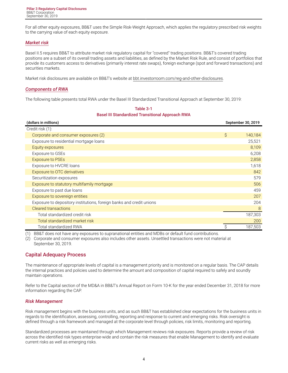<span id="page-5-0"></span>For all other equity exposures, BB&T uses the Simple Risk-Weight Approach, which applies the regulatory prescribed risk weights to the carrying value of each equity exposure.

#### *Market risk*

Basel II.5 requires BB&T to attribute market risk regulatory capital for "covered" trading positions. BB&T's covered trading positions are a subset of its overall trading assets and liabilities, as defined by the Market Risk Rule, and consist of portfolios that provide its customers access to derivatives (primarily interest rate swaps), foreign exchange (spot and forward transactions) and securities markets.

Market risk disclosures are available on BB&T's website at [bbt.investorroom.com/reg-and-other-disclosures](https://bbt.investorroom.com/reg-and-other-disclosures).

#### *Components of RWA*

The following table presents total RWA under the Basel III Standardized Transitional Approach at September 30, 2019:

| Table 3-1                                               |
|---------------------------------------------------------|
| <b>Basel III Standardized Transitional Approach RWA</b> |

| (dollars in millions)                                                | September 30, 2019 |
|----------------------------------------------------------------------|--------------------|
| Credit risk (1):                                                     |                    |
| Corporate and consumer exposures (2)                                 | \$<br>140,184      |
| Exposure to residential mortgage loans                               | 25,521             |
| Equity exposures                                                     | 8,109              |
| Exposure to GSEs                                                     | 6,208              |
| <b>Exposure to PSEs</b>                                              | 2,858              |
| Exposure to HVCRE loans                                              | 1,618              |
| Exposure to OTC derivatives                                          | 842                |
| Securitization exposures                                             | 579                |
| Exposure to statutory multifamily mortgage                           | 506                |
| Exposure to past due loans                                           | 459                |
| Exposure to sovereign entities                                       | 207                |
| Exposure to depository institutions, foreign banks and credit unions | 204                |
| <b>Cleared transactions</b>                                          | 8                  |
| Total standardized credit risk                                       | 187,303            |
| Total standardized market risk                                       | 200                |
| <b>Total standardized RWA</b>                                        | Ŝ<br>187,503       |

(1) BB&T does not have any exposures to supranational entities and MDBs or default fund contributions.

(2) Corporate and consumer exposures also includes other assets. Unsettled transactions were not material at September 30, 2019.

#### **Capital Adequacy Process**

The maintenance of appropriate levels of capital is a management priority and is monitored on a regular basis. The CAP details the internal practices and policies used to determine the amount and composition of capital required to safely and soundly maintain operations.

Refer to the Capital section of the MD&A in BB&T's Annual Report on Form 10-K for the year ended December 31, 2018 for more information regarding the CAP.

#### *Risk Management*

Risk management begins with the business units, and as such BB&T has established clear expectations for the business units in regards to the identification, assessing, controlling, reporting and response to current and emerging risks. Risk oversight is defined through a risk framework and managed at the corporate level through policies, risk limits, monitoring and reporting.

Standardized processes are maintained through which Management reviews risk exposures. Reports provide a review of risk across the identified risk types enterprise-wide and contain the risk measures that enable Management to identify and evaluate current risks as well as emerging risks.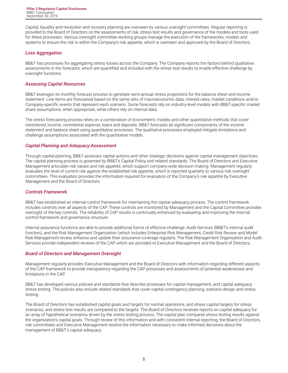Capital, liquidity and resolution and recovery planning are overseen by various oversight committees. Regular reporting is provided to the Board of Directors on the assessments of risk, stress test results and governance of the models and tools used for these processes. Various oversight committee working groups manage the execution of the frameworks, models and systems to ensure the risk is within the Company's risk appetite, which is overseen and approved by the Board of Directors.

#### *Loss Aggregation*

BB&T has processes for aggregating stress losses across the Company. The Company reports the factors behind qualitative assessments in the forecasts, which are quantified and included with the stress test results to enable effective challenge by oversight functions.

#### *Assessing Capital Resources*

BB&T leverages its monthly forecast process to generate semi-annual stress projections for the balance sheet and income statement. Line items are forecasted based on the same sets of macroeconomic data, interest rates, market conditions and/or Company-specific events that represent each scenario. Some forecasts rely on industry-level models with BB&T-specific market share assumptions, when appropriate, while others rely on internal data.

The stress forecasting process relies on a combination of econometric models and other quantitative methods that cover noninterest income, noninterest expense, loans and deposits. BB&T forecasts all significant components of the income statement and balance sheet using quantitative processes. The qualitative processes employed mitigate limitations and challenge assumptions associated with the quantitative models.

#### *Capital Planning and Adequacy Assessment*

Through capital planning, BB&T assesses capital actions and other strategic decisions against capital management objectives. The capital planning process is governed by BB&T's Capital Policy and related standards. The Board of Directors and Executive Management articulate risk values and risk appetite, which support company-wide decision-making. Management regularly evaluates the level of current risk against the established risk appetite, which is reported quarterly to various risk oversight committees. This evaluation provides the information required for evaluation of the Company's risk appetite by Executive Management and the Board of Directors.

#### *Controls Framework*

BB&T has established an internal control framework for maintaining the capital adequacy process. The control framework includes controls over all aspects of the CAP. These controls are monitored by Management and the Capital Committee provides oversight of the key controls. The reliability of CAP results is continually enhanced by evaluating and improving the internal control framework and governance structure.

Internal assurance functions are able to provide additional forms of effective challenge. Audit Services (BB&T's internal audit function), and the Risk Management Organization (which includes Enterprise Risk Management, Credit Risk Review and Model Risk Management review, enhance and update their assurance coverage regularly. The Risk Management Organization and Audit Services provide independent reviews of the CAP, which are provided to Executive Management and the Board of Directors.

#### *Board of Directors and Management Oversight*

Management regularly provides Executive Management and the Board of Directors with information regarding different aspects of the CAP framework to provide transparency regarding the CAP processes and assessments of potential weaknesses and limitations in the CAP.

BB&T has developed various policies and standards that describe processes for capital management, and capital adequacy stress testing. The policies also include related standards that cover capital contingency planning, scenario design and stress testing.

The Board of Directors has established capital goals and targets for normal operations, and stress capital targets for stress scenarios, and stress test results are compared to the targets. The Board of Directors receives reports on capital adequacy for an array of hypothetical scenarios driven by the stress testing process. The capital plan compares stress testing results against the organization's capital goals. Through review of this information and with consistent internal reporting, the Board of Directors, risk committees and Executive Management receive the information necessary to make informed decisions about the management of BB&T's capital adequacy.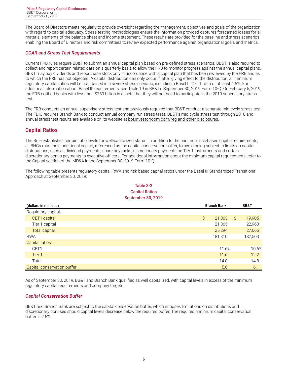<span id="page-7-0"></span>The Board of Directors meets regularly to provide oversight regarding the management, objectives and goals of the organization with regard to capital adequacy. Stress testing methodologies ensure the information provided captures forecasted losses for all material elements of the balance sheet and income statement. These results are provided for the baseline and stress scenarios, enabling the Board of Directors and risk committees to review expected performance against organizational goals and metrics.

#### *CCAR and Stress Test Requirements*

Current FRB rules require BB&T to submit an annual capital plan based on pre-defined stress scenarios. BB&T is also required to collect and report certain related data on a quarterly basis to allow the FRB to monitor progress against the annual capital plans. BB&T may pay dividends and repurchase stock only in accordance with a capital plan that has been reviewed by the FRB and as to which the FRB has not objected. A capital distribution can only occur if, after giving effect to the distribution, all minimum regulatory capital ratios will be maintained in a severe stress scenario, including a Basel III CET1 ratio of at least 4.5%. For additional information about Basel III requirements, see Table 19 in BB&T's September 30, 2019 Form 10-Q. On February 5, 2019, the FRB notified banks with less than \$250 billion in assets that they will not need to participate in the 2019 supervisory stress test.

The FRB conducts an annual supervisory stress test and previously required that BB&T conduct a separate mid-cycle stress test. The FDIC requires Branch Bank to conduct annual company-run stress tests. BB&T's mid-cycle stress test through 2018 and annual stress test results are available on its website at [bbt.investorroom.com/reg-and-other-disclosures.](https://bbt.investorroom.com/reg-and-other-disclosures)

#### **Capital Ratios**

The Rule establishes certain ratio levels for well-capitalized status. In addition to the minimum risk-based capital requirements, all BHCs must hold additional capital, referenced as the capital conservation buffer, to avoid being subject to limits on capital distributions, such as dividend payments, share buybacks, discretionary payments on Tier 1 instruments and certain discretionary bonus payments to executive officers. For additional information about the minimum capital requirements, refer to the Capital section of the MD&A in the September 30, 2019 Form 10-Q.

The following table presents regulatory capital, RWA and risk-based capital ratios under the Basel III Standardized Transitional Approach at September 30, 2019:

| <b>Capital Ratios</b>       |                    |         |      |         |  |  |  |  |  |  |  |  |  |
|-----------------------------|--------------------|---------|------|---------|--|--|--|--|--|--|--|--|--|
| <b>September 30, 2019</b>   |                    |         |      |         |  |  |  |  |  |  |  |  |  |
| (dollars in millions)       | <b>Branch Bank</b> |         | BB&T |         |  |  |  |  |  |  |  |  |  |
| Regulatory capital:         |                    |         |      |         |  |  |  |  |  |  |  |  |  |
| CET1 capital                | \$                 | 21,065  | S.   | 19,905  |  |  |  |  |  |  |  |  |  |
| Tier 1 capital              |                    | 21,065  |      | 22,960  |  |  |  |  |  |  |  |  |  |
| <b>Total capital</b>        |                    | 25,294  |      | 27,666  |  |  |  |  |  |  |  |  |  |
| <b>RWA</b>                  |                    | 181,310 |      | 187,503 |  |  |  |  |  |  |  |  |  |
| Capital ratios:             |                    |         |      |         |  |  |  |  |  |  |  |  |  |
| CET1                        |                    | 11.6%   |      | 10.6%   |  |  |  |  |  |  |  |  |  |
| Tier 1                      |                    | 11.6    |      | 12.2    |  |  |  |  |  |  |  |  |  |
| Total                       |                    | 14.0    |      | 14.8    |  |  |  |  |  |  |  |  |  |
| Capital conservation buffer |                    | 5.6     |      | 6.1     |  |  |  |  |  |  |  |  |  |

# **Table 3-2**

As of September 30, 2019, BB&T and Branch Bank qualified as well capitalized, with capital levels in excess of the minimum regulatory capital requirements and company targets.

#### *Capital Conservation Buffer*

BB&T and Branch Bank are subject to the capital conservation buffer, which imposes limitations on distributions and discretionary bonuses should capital levels decrease below the required buffer. The required minimum capital conservation buffer is 2.5%.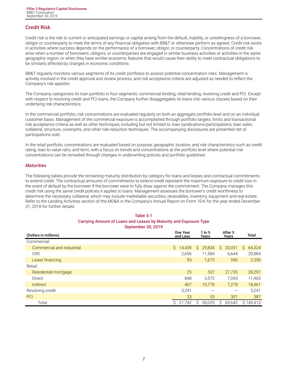## <span id="page-8-0"></span>**Credit Risk**

Credit risk is the risk to current or anticipated earnings or capital arising from the default, inability, or unwillingness of a borrower, obligor or counterparty to meet the terms of any financial obligation with BB&T or otherwise perform as agreed. Credit risk exists in activities where success depends on the performance of a borrower, obligor, or counterparty. Concentrations of credit risk arise when a number of borrowers, obligors, or counterparties are engaged in similar business activities or activities in the same geographic region, or when they have similar economic features that would cause their ability to meet contractual obligations to be similarly affected by changes in economic conditions.

BB&T regularly monitors various segments of its credit portfolios to assess potential concentration risks. Management is actively involved in the credit approval and review process, and risk acceptance criteria are adjusted as needed to reflect the Company's risk appetite.

The Company categorizes its loan portfolio in four segments: commercial lending, retail lending, revolving credit and PCI. Except with respect to revolving credit and PCI loans, the Company further disaggregates its loans into various classes based on their underlying risk characteristics.

In the commercial portfolio, risk concentrations are evaluated regularly on both an aggregate portfolio level and on an individual customer basis. Management of the commercial exposure is accomplished through portfolio targets, limits and transactional risk acceptance criteria as well as other techniques, including but not limited to, loan syndications/participations, loan sales, collateral, structure, covenants, and other risk-reduction techniques. The accompanying disclosures are presented net of participations sold.

In the retail portfolio, concentrations are evaluated based on purpose, geographic location, and risk characteristics such as credit rating, loan to value ratio, and term, with a focus on trends and concentrations at the portfolio level where potential risk concentrations can be remedied through changes in underwriting policies and portfolio guidelines.

#### *Maturities*

The following tables provide the remaining maturity distribution by category for loans and leases and contractual commitments to extend credit. The contractual amounts of commitments to extend credit represent the maximum exposure to credit loss in the event of default by the borrower if the borrower were to fully draw against the commitment. The Company manages this credit risk using the same credit policies it applies to loans. Management assesses the borrower's credit worthiness to determine the necessary collateral, which may include marketable securities, receivables, inventory, equipment and real estate. Refer to the Lending Activities section of the MD&A in the Company's Annual Report on Form 10-K for the year ended December 31, 2018 for further details.

**Table 5-1**

| Table 5-T<br>Carrying Amount of Loans and Leases by Maturity and Exposure Type |                      |                 |                                 |              |  |  |  |  |  |  |  |  |  |
|--------------------------------------------------------------------------------|----------------------|-----------------|---------------------------------|--------------|--|--|--|--|--|--|--|--|--|
| September 30, 2019                                                             |                      |                 |                                 |              |  |  |  |  |  |  |  |  |  |
| (Dollars in millions)                                                          | One Year<br>and Less | 1 to 5<br>Years | After 5<br>Years                | Total        |  |  |  |  |  |  |  |  |  |
| Commercial:                                                                    |                      |                 |                                 |              |  |  |  |  |  |  |  |  |  |
| Commercial and industrial                                                      | Ŝ.<br>14,439         | S.<br>29,834    | Ŝ<br>20,051                     | 64,324<br>Ŝ. |  |  |  |  |  |  |  |  |  |
| CRE                                                                            | 2,656                | 11,584          | 6,644                           | 20,884       |  |  |  |  |  |  |  |  |  |
| Lease financing                                                                | 93                   | 1,673           | 590                             | 2,356        |  |  |  |  |  |  |  |  |  |
| Retail:                                                                        |                      |                 |                                 |              |  |  |  |  |  |  |  |  |  |
| Residential mortgage                                                           | 25                   | 537             | 27,735                          | 28,297       |  |  |  |  |  |  |  |  |  |
| Direct                                                                         | 848                  | 3,572           | 7,043                           | 11,463       |  |  |  |  |  |  |  |  |  |
| Indirect                                                                       | 407                  | 10,776          | 7,278                           | 18,461       |  |  |  |  |  |  |  |  |  |
| Revolving credit                                                               | 3,241                |                 | $\hspace{0.1mm}-\hspace{0.1mm}$ | 3,241        |  |  |  |  |  |  |  |  |  |
| PCI                                                                            | 33                   | 53              | 301                             | 387          |  |  |  |  |  |  |  |  |  |
| Total                                                                          | Ŝ<br>21,742          | 58,029<br>S     | Ŝ<br>69,642                     | \$149,413    |  |  |  |  |  |  |  |  |  |

# 7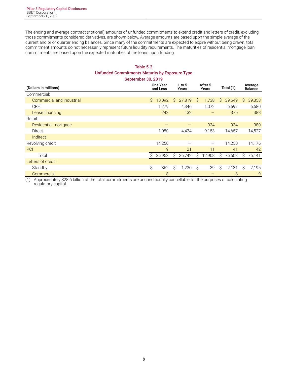The ending and average contract (notional) amounts of unfunded commitments to extend credit and letters of credit, excluding those commitments considered derivatives, are shown below. Average amounts are based upon the simple average of the current and prior quarter ending balances. Since many of the commitments are expected to expire without being drawn, total commitment amounts do not necessarily represent future liquidity requirements. The maturities of residential mortgage loan commitments are based upon the expected maturities of the loans upon funding.

#### **Table 5-2 Unfunded Commitments Maturity by Exposure Type September 30, 2019**

| (Dollars in millions)     | <b>One Year</b><br>and Less |        |    |        |    | After 5<br>Years         | Total (1) |        |    | Average<br><b>Balance</b> |
|---------------------------|-----------------------------|--------|----|--------|----|--------------------------|-----------|--------|----|---------------------------|
| Commercial:               |                             |        |    |        |    |                          |           |        |    |                           |
| Commercial and industrial | Ŝ.                          | 10,092 | Ŝ. | 27,819 | Ŝ. | 1,738                    | Ŝ.        | 39,649 | Ŝ. | 39,353                    |
| <b>CRE</b>                |                             | 1,279  |    | 4,346  |    | 1,072                    |           | 6,697  |    | 6,680                     |
| Lease financing           |                             | 243    |    | 132    |    |                          |           | 375    |    | 383                       |
| Retail:                   |                             |        |    |        |    |                          |           |        |    |                           |
| Residential mortgage      |                             |        |    |        |    | 934                      |           | 934    |    | 980                       |
| Direct                    |                             | 1,080  |    | 4,424  |    | 9,153                    |           | 14,657 |    | 14,527                    |
| Indirect                  |                             |        |    |        |    |                          |           |        |    |                           |
| Revolving credit          |                             | 14,250 |    |        |    | $\overline{\phantom{m}}$ |           | 14,250 |    | 14,176                    |
| PCI                       |                             | 9      |    | 21     |    | 11                       |           | 41     |    | 42                        |
| Total                     | Ŝ                           | 26,953 | Ŝ. | 36,742 | Ŝ  | 12,908                   | Ŝ         | 76,603 | S  | 76,141                    |
| Letters of credit:        |                             |        |    |        |    |                          |           |        |    |                           |
| Standby                   | \$                          | 862    | \$ | 1,230  | S. | 39                       | \$        | 2,131  | Ŝ  | 2,195                     |
| Commercial                |                             | 8      |    |        |    |                          |           | 8      |    | $\overline{9}$            |

(1) Approximately \$28.6 billion of the total commitments are unconditionally cancellable for the purposes of calculating regulatory capital.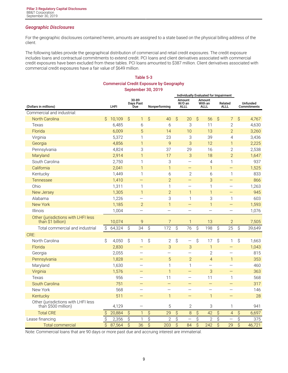#### *Geographic Disclosures*

For the geographic disclosures contained herein, amounts are assigned to a state based on the physical billing address of the client.

The following tables provide the geographical distribution of commercial and retail credit exposures. The credit exposure includes loans and contractual commitments to extend credit. PCI loans and client derivatives associated with commercial credit exposures have been excluded from these tables. PCI loans amounted to \$387 million. Client derivatives associated with commercial credit exposures have a fair value of \$649 million.

#### **Table 5-3 Commercial Credit Exposure by Geography September 30, 2019**

|                                                            |               |        |                     |                           |                          |                          |                          | Individually Evaluated for Impairment |                           |                                  |                          |                          |                         |                                |
|------------------------------------------------------------|---------------|--------|---------------------|---------------------------|--------------------------|--------------------------|--------------------------|---------------------------------------|---------------------------|----------------------------------|--------------------------|--------------------------|-------------------------|--------------------------------|
| (Dollars in millions)                                      |               | LHFI   |                     | 30-89<br>Days Past<br>Due |                          | Nonperforming            |                          | Amount<br>W/O an<br><b>ALLL</b>       |                           | Amount<br>With an<br><b>ALLL</b> |                          | Related<br><b>ALLL</b>   |                         | <b>Unfunded</b><br>Commitments |
| Commercial and industrial:                                 |               |        |                     |                           |                          |                          |                          |                                       |                           |                                  |                          |                          |                         |                                |
| North Carolina                                             | Ŝ             | 10,109 | $\varsigma$         | $\mathbf{1}$              | $\hat{S}$                | 40                       | $\hat{S}$                | 20                                    | \$                        | 56                               | $\hat{S}$                | 7                        | \$                      | 4,767                          |
| Texas                                                      |               | 6,485  |                     | 6                         |                          | 6                        |                          | 3                                     |                           | 11                               |                          | $\overline{2}$           |                         | 4,630                          |
| Florida                                                    |               | 6,009  |                     | 5                         |                          | 14                       |                          | 10                                    |                           | 13                               |                          | $\overline{2}$           |                         | 3,260                          |
| Virginia                                                   |               | 5,372  |                     | 1                         |                          | 23                       |                          | 3                                     |                           | 39                               |                          | $\overline{4}$           |                         | 3,436                          |
| Georgia                                                    |               | 4,856  |                     | $\mathbf{1}$              |                          | 9                        |                          | 3                                     |                           | 12                               |                          | $\mathbf{1}$             |                         | 2,225                          |
| Pennsylvania                                               |               | 4,824  |                     | 3                         |                          | 37                       |                          | 29                                    |                           | 16                               |                          | $\overline{2}$           |                         | 2,538                          |
| Maryland                                                   |               | 2,914  |                     | $\mathbf{1}$              |                          | 17                       |                          | 3                                     |                           | 18                               |                          | $\overline{2}$           |                         | 1,647                          |
| South Carolina                                             |               | 2,750  |                     | $\mathbf{1}$              |                          | 3                        |                          | $\qquad \qquad -$                     |                           | $\overline{4}$                   |                          | $\mathbf{1}$             |                         | 937                            |
| California                                                 |               | 2,041  |                     | $\mathbf{1}$              |                          | $\mathbf{1}$             |                          | $\qquad \qquad -$                     |                           | $\mathbf{1}$                     |                          | $\qquad \qquad -$        |                         | 1,525                          |
| Kentucky                                                   |               | 1,449  |                     | $\mathbf{1}$              |                          | 6                        |                          | $\mathbf{2}$                          |                           | 6                                |                          | $\mathbf{1}$             |                         | 833                            |
| Tennessee                                                  |               | 1,410  |                     | $\overline{\phantom{0}}$  |                          | $\overline{2}$           |                          | $\overline{\phantom{0}}$              |                           | 3                                |                          | $\overline{\phantom{0}}$ |                         | 866                            |
| Ohio                                                       |               | 1,311  |                     | $\mathbf{1}$              |                          | $\mathbf{1}$             |                          | $\equiv$                              |                           | $\mathbf{1}$                     |                          | $\overline{\phantom{0}}$ |                         | 1,263                          |
| New Jersey                                                 |               | 1,305  |                     | $\mathbf{1}$              |                          | $\overline{2}$           |                          | $\mathbf{1}$                          |                           | $\overline{1}$                   |                          | -                        |                         | 945                            |
| Alabama                                                    |               | 1,226  |                     |                           |                          | 3                        |                          | 1                                     |                           | 3                                |                          | $\mathbf{1}$             |                         | 603                            |
| <b>New York</b>                                            |               | 1,185  |                     | $\overline{2}$            |                          | $\mathbf{1}$             |                          |                                       |                           | $\mathbf{1}$                     |                          |                          |                         | 1,593                          |
| Illinois                                                   |               | 1,004  |                     | —                         |                          | $\overline{\phantom{0}}$ |                          |                                       |                           | $\overline{\phantom{0}}$         |                          | —                        |                         | 1,076                          |
| Other (jurisdictions with LHFI less<br>than \$1 billion)   |               | 10,074 |                     | 9                         |                          | $\overline{7}$           |                          | $\mathbf{1}$                          |                           | 13                               |                          | $\overline{2}$           |                         | 7,505                          |
| Total commercial and industrial                            | $\mathcal{S}$ | 64,324 | $\hat{\mathcal{S}}$ | 34                        | $\overline{\mathcal{S}}$ | 172                      | $\overline{\mathcal{S}}$ | 76                                    | $\mathsf S$               | 198                              | $\hat{S}$                | 25                       | Ś                       | 39,649                         |
| CRE:                                                       |               |        |                     |                           |                          |                          |                          |                                       |                           |                                  |                          |                          |                         |                                |
| North Carolina                                             | \$            | 4,050  | \$                  | $\mathbf{1}$              | \$                       | $\mathbf{2}$             | \$                       | $\overline{\phantom{0}}$              | \$                        | 17                               | \$                       | 1                        | \$                      | 1,663                          |
| Florida                                                    |               | 2,830  |                     |                           |                          | 3                        |                          | 3                                     |                           | $\mathbf{1}$                     |                          | -                        |                         | 1,043                          |
| Georgia                                                    |               | 2,055  |                     |                           |                          |                          |                          |                                       |                           | $\overline{2}$                   |                          |                          |                         | 815                            |
| Pennsylvania                                               |               | 1,828  |                     |                           |                          | 5                        |                          | $\overline{2}$                        |                           | $\overline{4}$                   |                          | $\mathbf{1}$             |                         | 353                            |
| Maryland                                                   |               | 1,630  |                     |                           |                          | $\mathbf{1}$             |                          | 1                                     |                           | $\overline{\phantom{0}}$         |                          | $\overline{\phantom{0}}$ |                         | 460                            |
| Virginia                                                   |               | 1,576  |                     |                           |                          | $\mathbf{1}$             |                          | $\equiv$                              |                           | 3                                |                          | $\equiv$                 |                         | 363                            |
| Texas                                                      |               | 956    |                     | $\overline{\phantom{0}}$  |                          | 11                       |                          |                                       |                           | 11                               |                          | $\mathbf{1}$             |                         | 568                            |
| South Carolina                                             |               | 751    |                     |                           |                          | $\equiv$                 |                          | —                                     |                           | $\overline{\phantom{0}}$         |                          | —                        |                         | 317                            |
| New York                                                   |               | 568    |                     |                           |                          | $\overline{\phantom{0}}$ |                          | $\qquad \qquad -$                     |                           | $\overline{\phantom{0}}$         |                          | $\overline{\phantom{0}}$ |                         | 146                            |
| Kentucky                                                   |               | 511    |                     | $\overline{\phantom{0}}$  |                          | $\mathbf{1}$             |                          | $\overline{\phantom{0}}$              |                           | $\mathbf{1}$                     |                          | $\equiv$                 |                         | 28                             |
| Other (jurisdictions with LHFI less<br>than \$500 million) |               | 4,129  |                     | $\overline{\phantom{0}}$  |                          | 5                        |                          | $\overline{2}$                        |                           | 3                                |                          | 1                        |                         | 941                            |
| <b>Total CRE</b>                                           | \$            | 20,884 | $\hat{\mathcal{S}}$ | $\mathbf{1}$              | \$                       | 29                       | \$                       | 8                                     | $\boldsymbol{\mathsf{S}}$ | 42                               | $\hat{\mathcal{S}}$      | $\overline{4}$           | \$                      | 6,697                          |
| Lease financing                                            | \$            | 2,356  | \$                  | 1                         | $\overline{\varsigma}$   | $\overline{2}$           | $\overline{\xi}$         |                                       | $\overline{\xi}$          | $\overline{2}$                   | \$                       | —                        | \$                      | 375                            |
| <b>Total commercial</b>                                    | \$            | 87,564 | $\hat{S}$           | 36                        | $\overline{\mathsf{S}}$  | 203                      | $\overline{\mathcal{S}}$ | 84                                    | $\overline{\mathcal{S}}$  | 242                              | $\overline{\mathcal{S}}$ | 29                       | $\overline{\mathsf{S}}$ | 46,721                         |

Note: Commercial loans that are 90 days or more past due and accruing interest are immaterial.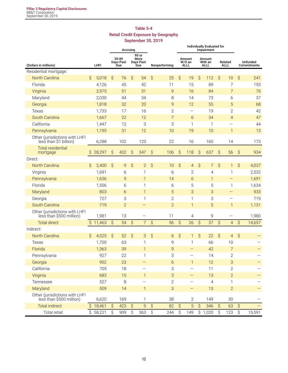#### **Table 5-4 Retail Credit Exposure by Geography September 30, 2019**

|                                                            | Accruing |                       |                     |                           |                     |                                                    |                     |                | Individually Evaluated for |                                 |                     |                                  |               |                          |                     |                                |
|------------------------------------------------------------|----------|-----------------------|---------------------|---------------------------|---------------------|----------------------------------------------------|---------------------|----------------|----------------------------|---------------------------------|---------------------|----------------------------------|---------------|--------------------------|---------------------|--------------------------------|
| (Dollars in millions)                                      |          | LHFI                  |                     | 30-89<br>Days Past<br>Due |                     | 90 or<br>More<br>Days Past<br>Due<br>Nonperforming |                     |                |                            | Amount<br>W/O an<br><b>ALLL</b> |                     | Amount<br>With an<br><b>ALLL</b> |               | Related<br><b>ALLL</b>   |                     | <b>Unfunded</b><br>Commitments |
| Residential mortgage:                                      |          |                       |                     |                           |                     |                                                    |                     |                |                            |                                 |                     |                                  |               |                          |                     |                                |
| <b>North Carolina</b>                                      | \$       | 5,018                 | $\hat{\mathcal{S}}$ | 76                        | $\hat{\mathcal{S}}$ | 54                                                 | $\hat{S}$           | 25             | \$                         | 19                              | $\hat{\mathcal{S}}$ | 112                              | $\mathcal{S}$ | 10                       | \$                  | 241                            |
| Florida                                                    |          | 4,126                 |                     | 45                        |                     | 42                                                 |                     | 11             |                            | 15                              |                     | 89                               |               | $\overline{7}$           |                     | 193                            |
| Virginia                                                   |          | 2,975                 |                     | 51                        |                     | 31                                                 |                     | 9              |                            | 16                              |                     | 84                               |               | $\overline{7}$           |                     | 76                             |
| Maryland                                                   |          | 2,030                 |                     | 44                        |                     | 34                                                 |                     | 8              |                            | 14                              |                     | 73                               |               | 6                        |                     | 37                             |
| Georgia                                                    |          | 1,818                 |                     | 32                        |                     | 20                                                 |                     | 9              |                            | 12                              |                     | 55                               |               | 5                        |                     | 68                             |
| Texas                                                      |          | 1,733                 |                     | 17                        |                     | 16                                                 |                     | $\mathbf{2}$   |                            | $\overline{\phantom{0}}$        |                     | 19                               |               | $\overline{2}$           |                     | 42                             |
| South Carolina                                             |          | 1,667                 |                     | 22                        |                     | 12                                                 |                     | $\overline{7}$ |                            | 6                               |                     | 34                               |               | $\overline{4}$           |                     | 47                             |
| California                                                 |          | 1,447                 |                     | 12                        |                     | 3                                                  |                     | 3              |                            | 1                               |                     | 1                                |               | —                        |                     | 44                             |
| Pennsylvania                                               |          | 1,195                 |                     | 31                        |                     | 12                                                 |                     | 10             |                            | 19                              |                     | 10                               |               | $\mathbf{1}$             |                     | 13                             |
| Other (jurisdictions with LHFI<br>less than \$1 billion)   |          | 6,288                 |                     | 102                       |                     | 123                                                |                     | 22             |                            | 16                              |                     | 160                              |               | 14                       |                     | 173                            |
| <b>Total residential</b><br>mortgage                       | \$       | 28,297                | \$                  | 432                       | \$                  | 347                                                | \$                  | 106            | \$                         | 118                             | $\hat{\mathcal{S}}$ | 637                              | $\hat{S}$     | 56                       | \$                  | 934                            |
| Direct:                                                    |          |                       |                     |                           |                     |                                                    |                     |                |                            |                                 |                     |                                  |               |                          |                     |                                |
| North Carolina                                             | Ŝ        | 2,400                 | $\mathcal{S}$       | 9                         | \$                  | $\overline{2}$                                     | $\hat{S}$           | 10             | $\hat{S}$                  | $\overline{4}$                  | \$                  | 7                                | \$            | 1                        | \$                  | 4,037                          |
| Virginia                                                   |          | 1,691                 |                     | 6                         |                     | 1                                                  |                     | 6              |                            | $\mathbf{2}$                    |                     | 4                                |               | 1                        |                     | 2,532                          |
| Pennsylvania                                               |          | 1,636                 |                     | 9                         |                     | 1                                                  |                     | 14             |                            | 6                               |                     | $\mathbf{1}$                     |               | -                        |                     | 1,691                          |
| Florida                                                    |          | 1,506                 |                     | 6                         |                     | 1                                                  |                     | 6              |                            | 5                               |                     | 5                                |               | 1                        |                     | 1,634                          |
| Maryland                                                   |          | 803                   |                     | 6                         |                     | $\mathbf{1}$                                       |                     | 5              |                            | 3                               |                     | 3                                |               | $\overline{\phantom{0}}$ |                     | 933                            |
| Georgia                                                    |          | 727                   |                     | 3                         |                     | 1                                                  |                     | $\mathbf{2}$   |                            | 1                               |                     | 3                                |               |                          |                     | 719                            |
| South Carolina                                             |          | 719                   |                     | $\overline{2}$            |                     |                                                    |                     | $\overline{2}$ |                            | $\mathbf{1}$                    |                     | 5                                |               | 1                        |                     | 1,131                          |
| Other (jurisdictions with LHFI<br>less than \$500 million) |          | 1,981                 |                     | 13                        |                     |                                                    |                     | 11             |                            | 4                               |                     | 9                                |               | $\overline{\phantom{0}}$ |                     | 1,980                          |
| <b>Total direct</b>                                        |          | \$11,463              | $\hat{S}$           | 54                        | $\hat{\mathcal{S}}$ | 7 <sup>1</sup>                                     | $\hat{S}$           | 56             | $\hat{S}$                  | 26                              | $\hat{S}$           | 37                               | $\hat{S}$     | $\overline{4}$           | $\hat{S}$           | 14,657                         |
| Indirect:                                                  |          |                       |                     |                           |                     |                                                    |                     |                |                            |                                 |                     |                                  |               |                          |                     |                                |
| North Carolina                                             | Ŝ        | 4,525                 | $\hat{S}$           | 52                        | $\hat{\mathcal{S}}$ | 3                                                  | $\hat{\mathcal{S}}$ | 6              | $\hat{S}$                  | $\mathbf{1}$                    | $\hat{\mathcal{S}}$ | 22                               | $\hat{S}$     | $\overline{4}$           | $\hat{\mathcal{S}}$ |                                |
| Texas                                                      |          | 1,700                 |                     | 63                        |                     | 1                                                  |                     | 9              |                            | 1                               |                     | 66                               |               | 10                       |                     |                                |
| Florida                                                    |          | 1,363                 |                     | 39                        |                     | 1                                                  |                     | 9              |                            | —                               |                     | 42                               |               | $\overline{7}$           |                     |                                |
| Pennsylvania                                               |          | 927                   |                     | 22                        |                     | 1                                                  |                     | Ç<br>پ         |                            |                                 |                     | 14                               |               | $\overline{2}$           |                     |                                |
| Georgia                                                    |          | 902                   |                     | 23                        |                     |                                                    |                     | 6              |                            | $\mathbf{1}$                    |                     | 12                               |               | $\sqrt{3}$               |                     |                                |
| California                                                 |          | 705                   |                     | 18                        |                     |                                                    |                     | 3              |                            | $\qquad \qquad -$               |                     | 11                               |               | $\mathbf{2}$             |                     |                                |
| Virginia                                                   |          | 683                   |                     | 15                        |                     | $\mathbf{1}$                                       |                     | 3              |                            | $\overline{\phantom{0}}$        |                     | 13                               |               | $\overline{2}$           |                     |                                |
| Tennessee                                                  |          | 527                   |                     | 8                         |                     |                                                    |                     | $\sqrt{2}$     |                            |                                 |                     | 4                                |               | 1                        |                     |                                |
| Maryland                                                   |          | 509                   |                     | 14                        |                     | 1                                                  |                     | 3              |                            | —                               |                     | 13                               |               | $\overline{2}$           |                     |                                |
| Other (jurisdictions with LHFI<br>less than \$500 million) |          | 6,620                 |                     | 169                       |                     | 1                                                  |                     | 38             |                            | $\mathbf{2}$                    |                     | 149                              |               | 30                       |                     |                                |
| <b>Total indirect</b>                                      |          | \$18,461              | $\hat{\mathcal{S}}$ | 423                       | $\hat{\mathcal{S}}$ | $\overline{9}$                                     | $\hat{\mathcal{S}}$ | 82             | $\hat{\mathcal{S}}$        | 5                               | $\hat{S}$           | 346                              | $\hat{S}$     | 63                       | $\hat{\mathcal{S}}$ |                                |
| Total retail                                               |          | $\overline{$}$ 58,221 | $\hat{S}$           | 909                       | \$                  | 363                                                | \$                  | 244            | \$                         | 149                             |                     | \$1,020                          | \$            | 123                      | \$                  | 15,591                         |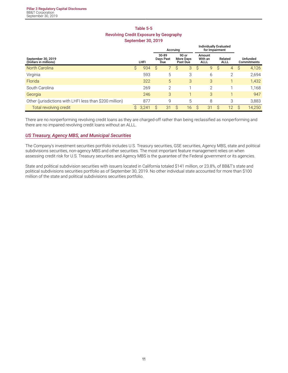# **Table 5-5 Revolving Credit Exposure by Geography**

| September 30, 2019 |  |  |
|--------------------|--|--|
|--------------------|--|--|

|                                                         |   |       | Accruing |                           |   |                                |                                  | <b>Individually Evaluated</b><br>for Impairment |              |                        |   |                                       |
|---------------------------------------------------------|---|-------|----------|---------------------------|---|--------------------------------|----------------------------------|-------------------------------------------------|--------------|------------------------|---|---------------------------------------|
| September 30, 2019<br>(Dollars in millions)             |   | LHFI  |          | 30-89<br>Days Past<br>Due |   | 90 or<br>More Days<br>Past Due | Amount<br>With an<br><b>ALLL</b> |                                                 |              | Related<br><b>ALLL</b> |   | <b>Unfunded</b><br><b>Commitments</b> |
| <b>North Carolina</b>                                   | S | 934   | S        |                           | S | 3                              | S                                | 9                                               | S            | $\overline{4}$         | S | 4,126                                 |
| Virginia                                                |   | 593   |          | 5                         |   | 3                              |                                  | 6                                               |              | $\overline{2}$         |   | 2,694                                 |
| Florida                                                 |   | 322   |          | 5                         |   | 3                              |                                  | 3                                               |              |                        |   | 1,432                                 |
| South Carolina                                          |   | 269   |          | $\overline{2}$            |   |                                |                                  | $\overline{2}$                                  |              |                        |   | 1,168                                 |
| Georgia                                                 |   | 246   |          | 3                         |   |                                |                                  | 3                                               |              |                        |   | 947                                   |
| Other (jurisdictions with LHFI less than \$200 million) |   | 877   |          | 9                         |   | 5                              |                                  | 8                                               |              | 3                      |   | 3,883                                 |
| Total revolving credit                                  |   | 3,241 | S        | 31                        | S | 16                             | S                                | 31                                              | <sub>S</sub> | 12                     | S | 14,250                                |

There are no nonperforming revolving credit loans as they are charged-off rather than being reclassified as nonperforming and there are no impaired revolving credit loans without an ALLL.

#### *US Treasury, Agency MBS, and Municipal Securities*

The Company's investment securities portfolio includes U.S. Treasury securities, GSE securities, Agency MBS, state and political subdivisions securities, non-agency MBS and other securities. The most important feature management relies on when assessing credit risk for U.S. Treasury securities and Agency MBS is the guarantee of the Federal government or its agencies.

State and political subdivision securities with issuers located in California totaled \$141 million, or 23.8%, of BB&T's state and political subdivisions securities portfolio as of September 30, 2019. No other individual state accounted for more than \$100 million of the state and political subdivisions securities portfolio.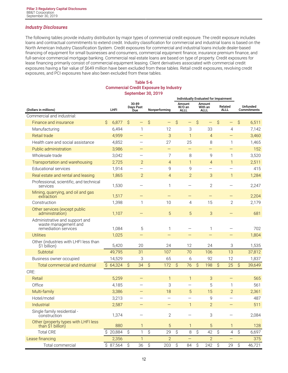#### *Industry Disclosures*

The following tables provide industry distribution by major types of commercial credit exposure. The credit exposure includes loans and contractual commitments to extend credit. Industry classification for commercial and industrial loans is based on the North American Industry Classification System. Credit exposures for commercial and industrial loans include dealer-based financing of equipment for small businesses and consumers, commercial equipment finance, insurance premium finance, and full-service commercial mortgage banking. Commercial real estate loans are based on type of property. Credit exposures for lease financing primarily consist of commercial equipment leasing. Client derivatives associated with commercial credit exposures having a fair value of \$649 million have been excluded from these tables. Retail credit exposures, revolving credit exposures, and PCI exposures have also been excluded from these tables.

#### **Table 5-6 Commercial Credit Exposure by Industry September 30, 2019**

|                                                                                |              |          |    |                           |                          |                   | Individually Evaluated for Impairment |                          |    |                                  |               |                          |           |                                |
|--------------------------------------------------------------------------------|--------------|----------|----|---------------------------|--------------------------|-------------------|---------------------------------------|--------------------------|----|----------------------------------|---------------|--------------------------|-----------|--------------------------------|
| (Dollars in millions)                                                          |              | LHFI     |    | 30-89<br>Days Past<br>Due |                          | Nonperforming     | Amount<br>W/O an<br><b>ALLL</b>       |                          |    | Amount<br>With an<br><b>ALLL</b> |               | Related<br>ALLL          |           | Unfunded<br><b>Commitments</b> |
| Commercial and industrial:                                                     |              |          |    |                           |                          |                   |                                       |                          |    |                                  |               |                          |           |                                |
| Finance and insurance                                                          | Ŝ            | 6,877    | Ŝ  | -                         | Ŝ                        | $\qquad \qquad -$ | Ŝ                                     | $\overline{\phantom{0}}$ | Ŝ. | $\qquad \qquad -$                | $\mathcal{S}$ | $\qquad \qquad -$        | Ŝ         | 6,511                          |
| Manufacturing                                                                  |              | 6,494    |    | 1                         |                          | 12                |                                       | 3                        |    | 33                               |               | 4                        |           | 7,142                          |
| <b>Retail trade</b>                                                            |              | 4,959    |    | $\overline{\phantom{0}}$  |                          | 3                 |                                       | $\mathbf{1}$             |    | $\overline{4}$                   |               |                          |           | 3,460                          |
| Health care and social assistance                                              |              | 4,852    |    |                           |                          | 27                |                                       | 25                       |    | 8                                |               | 1                        |           | 1,465                          |
| <b>Public administration</b>                                                   |              | 3,986    |    |                           |                          | $\qquad \qquad -$ |                                       | —                        |    | $\qquad \qquad -$                |               |                          |           | 152                            |
| Wholesale trade                                                                |              | 3,042    |    | $\overline{\phantom{0}}$  |                          | 7                 |                                       | 8                        |    | 9                                |               | 1                        |           | 3,520                          |
| Transportation and warehousing                                                 |              | 2,725    |    | $\overline{2}$            |                          | $\overline{4}$    |                                       | $\mathbf{1}$             |    | $\overline{4}$                   |               | $\mathbf{1}$             |           | 2,511                          |
| <b>Educational services</b>                                                    |              | 1,914    |    | —                         |                          | 9                 |                                       | 9                        |    | —                                |               |                          |           | 415                            |
| Real estate and rental and leasing                                             |              | 1,865    |    | $\overline{2}$            |                          | $\overline{4}$    |                                       | $\overline{2}$           |    | 3                                |               | $\mathbf{1}$             |           | 1,284                          |
| Professional, scientific, and technical<br>services                            |              | 1,530    |    |                           |                          | $\mathbf{1}$      |                                       |                          |    | $\overline{2}$                   |               |                          |           | 2,247                          |
| Mining, quarrying, and oil and gas<br>extraction                               |              | 1,517    |    |                           |                          | $\qquad \qquad -$ |                                       | $\overline{\phantom{0}}$ |    | $\qquad \qquad -$                |               | $\overline{\phantom{0}}$ |           | 2,204                          |
| Construction                                                                   |              | 1,398    |    | $\mathbf{1}$              |                          | 10                |                                       | 4                        |    | 15                               |               | $\overline{2}$           |           | 2,179                          |
| Other services (except public<br>administration)                               |              | 1,107    |    |                           |                          | 5                 |                                       | 5                        |    | 3                                |               |                          |           | 681                            |
| Administrative and support and<br>waste management and<br>remediation services |              | 1,084    |    | 5                         |                          | 1                 |                                       |                          |    | 1                                |               |                          |           | 702                            |
| <b>Utilities</b>                                                               |              | 1,025    |    | -                         |                          | $\qquad \qquad -$ |                                       |                          |    | $\qquad \qquad -$                |               |                          |           | 1,804                          |
| Other (industries with LHFI less than<br>\$1 billion)                          |              | 5,420    |    | 20                        |                          | 24                |                                       | 12                       |    | 24                               |               | 3                        |           | 1,535                          |
| Subtotal                                                                       |              | 49,795   |    | 31                        |                          | 107               |                                       | 70                       |    | 106                              |               | 13                       |           | 37,812                         |
| Business owner occupied                                                        |              | 14,529   |    | 3                         |                          | 65                |                                       | 6                        |    | 92                               |               | 12                       |           | 1,837                          |
| Total commercial and industrial                                                | $\mathsf{S}$ | 64,324   | Ŝ  | 34                        | \$                       | 172               | $\hat{S}$                             | 76                       | \$ | 198                              | $\hat{S}$     | 25                       | $\hat{S}$ | 39,649                         |
| CRE:                                                                           |              |          |    |                           |                          |                   |                                       |                          |    |                                  |               |                          |           |                                |
| Retail                                                                         |              | 5,259    |    | $\overline{\phantom{0}}$  |                          | $\mathbf{1}$      |                                       | $\mathbf{1}$             |    | 3                                |               |                          |           | 565                            |
| Office                                                                         |              | 4,185    |    |                           |                          | 3                 |                                       | $\overline{\phantom{0}}$ |    | 5                                |               | 1                        |           | 561                            |
| Multi-family                                                                   |              | 3,386    |    | —                         |                          | 18                |                                       | 5                        |    | 15                               |               | $\overline{2}$           |           | 2,361                          |
| Hotel/motel                                                                    |              | 3,213    |    |                           |                          |                   |                                       |                          |    | 9                                |               | $\overline{\phantom{0}}$ |           | 487                            |
| Industrial                                                                     |              | 2,587    |    |                           |                          |                   |                                       | 1                        |    | $\overline{2}$                   |               |                          |           | 511                            |
| Single family residential -<br>construction                                    |              | 1,374    |    |                           |                          | $\mathbf{2}$      |                                       |                          |    | 3                                |               |                          |           | 2,084                          |
| Other (property types with LHFI less<br>than \$1 billion)                      |              | 880      |    | $\mathbf{1}$              |                          | 5                 |                                       | $\mathbf{1}$             |    | 5                                |               | 1                        |           | 128                            |
| <b>Total CRE</b>                                                               |              | \$20,884 | \$ | $\mathbf{1}$              | $\overline{\mathcal{S}}$ | 29                | $\mathsf S$                           | 8                        | \$ | 42                               | $\hat{S}$     | 4                        | \$        | 6,697                          |
| Lease financing                                                                |              | 2,356    |    | $\mathbf{1}$              |                          | $\overline{2}$    |                                       |                          |    | $\overline{2}$                   |               |                          |           | 375                            |
| Total commercial                                                               |              | \$87,564 | \$ | 36                        | \$                       | 203               | \$                                    | 84                       | \$ | 242                              | \$            | 29                       | \$        | 46,721                         |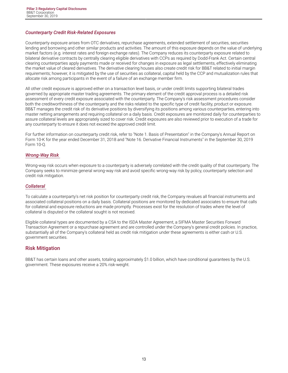#### <span id="page-14-0"></span>*Counterparty Credit Risk-Related Exposures*

Counterparty exposure arises from OTC derivatives, repurchase agreements, extended settlement of securities, securities lending and borrowing and other similar products and activities. The amount of this exposure depends on the value of underlying market factors (e.g. interest rates and foreign exchange rates). The Company reduces its counterparty exposure related to bilateral derivative contracts by centrally clearing eligible derivatives with CCPs as required by Dodd-Frank Act. Certain central clearing counterparties apply payments made or received for changes in exposure as legal settlements, effectively eliminating the market value of cleared derivatives. The derivative clearing houses also create credit risk for BB&T related to initial margin requirements; however, it is mitigated by the use of securities as collateral, capital held by the CCP and mutualization rules that allocate risk among participants in the event of a failure of an exchange member firm.

All other credit exposure is approved either on a transaction level basis, or under credit limits supporting bilateral trades governed by appropriate master trading agreements. The primary element of the credit approval process is a detailed risk assessment of every credit exposure associated with the counterparty. The Company's risk assessment procedures consider both the creditworthiness of the counterparty and the risks related to the specific type of credit facility, product or exposure. BB&T manages the credit risk of its derivative positions by diversifying its positions among various counterparties, entering into master netting arrangements and requiring collateral on a daily basis. Credit exposures are monitored daily for counterparties to assure collateral levels are appropriately sized to cover risk. Credit exposures are also reviewed prior to execution of a trade for any counterparty to ensure it does not exceed the approved credit limit.

For further information on counterparty credit risk, refer to "Note 1. Basis of Presentation" in the Company's Annual Report on Form 10-K for the year ended December 31, 2018 and "Note 16. Derivative Financial Instruments" in the September 30, 2019 Form 10-Q.

#### *Wrong-Way Risk*

Wrong-way risk occurs when exposure to a counterparty is adversely correlated with the credit quality of that counterparty. The Company seeks to minimize general wrong-way risk and avoid specific wrong-way risk by policy, counterparty selection and credit risk mitigation.

#### *Collateral*

To calculate a counterparty's net risk position for counterparty credit risk, the Company revalues all financial instruments and associated collateral positions on a daily basis. Collateral positions are monitored by dedicated associates to ensure that calls for collateral and exposure reductions are made promptly. Processes exist for the resolution of trades where the level of collateral is disputed or the collateral sought is not received.

Eligible collateral types are documented by a CSA to the ISDA Master Agreement, a SIFMA Master Securities Forward Transaction Agreement or a repurchase agreement and are controlled under the Company's general credit policies. In practice, substantially all of the Company's collateral held as credit risk mitigation under these agreements is either cash or U.S. government securities.

#### **Risk Mitigation**

BB&T has certain loans and other assets, totaling approximately \$1.0 billion, which have conditional guarantees by the U.S. government. These exposures receive a 20% risk-weight.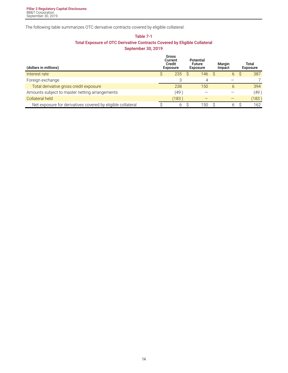The following table summarizes OTC derivative contracts covered by eligible collateral:

#### **Table 7-1 Total Exposure of OTC Derivative Contracts Covered by Eligible Collateral September 30, 2019**

| (dollars in millions)                                       | Gross<br>Current<br>Credit<br><b>Exposure</b> | Potential<br><b>Future</b><br><b>Exposure</b> |              | Margin<br>Impact | Total<br><b>Exposure</b> |
|-------------------------------------------------------------|-----------------------------------------------|-----------------------------------------------|--------------|------------------|--------------------------|
| Interest rate                                               | 235                                           | 146<br>S.                                     | <sub>S</sub> | 6                | 387                      |
| Foreign exchange                                            |                                               |                                               |              |                  |                          |
| Total derivative gross credit exposure                      | 238                                           | 150                                           |              | $\mathfrak b$    | 394                      |
| Amounts subject to master netting arrangements              | (49                                           |                                               |              |                  | (49)                     |
| Collateral held                                             | (183)                                         |                                               |              |                  | (183)                    |
| Net exposure for derivatives covered by eligible collateral | b                                             | 150                                           |              | b                | 162                      |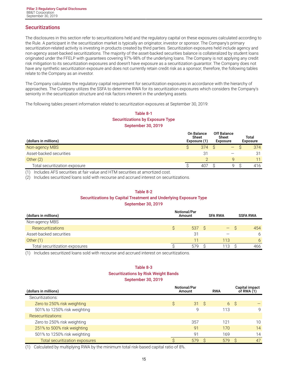## <span id="page-16-0"></span>**Securitizations**

The disclosures in this section refer to securitizations held and the regulatory capital on these exposures calculated according to the Rule. A participant in the securitization market is typically an originator, investor or sponsor. The Company's primary securitization-related activity is investing in products created by third parties. Securitization exposures held include agency and non-agency asset-backed securitizations. The majority of the asset-backed securities balance is collateralized by student loans originated under the FFELP with guarantees covering 97%-98% of the underlying loans. The Company is not applying any credit risk mitigation to its securitization exposures and doesn't have exposure as a securitization guarantor. The Company does not have any synthetic securitization exposure and does not currently retain credit risk as a sponsor; therefore, the following tables relate to the Company as an investor.

The Company calculates the regulatory capital requirement for securitization exposures in accordance with the hierarchy of approaches. The Company utilizes the SSFA to determine RWA for its securitization exposures which considers the Company's seniority in the securitization structure and risk factors inherent in the underlying assets.

The following tables present information related to securitization exposures at September 30, 2019:

#### **Table 8-1 Securitizations by Exposure Type September 30, 2019**

| (dollars in millions)         | <b>On Balance</b><br>Sheet<br>Exposure (1) | <b>Off Balance</b><br>Sheet<br><b>Exposure</b> | Total<br><b>Exposure</b> |
|-------------------------------|--------------------------------------------|------------------------------------------------|--------------------------|
| Non-agency MBS                | 374                                        | —                                              | 374                      |
| Asset-backed securities       | 31                                         |                                                | -31                      |
| Other $(2)$                   |                                            | a                                              | 11                       |
| Total securitization exposure | 407                                        | Q                                              | 416                      |

(1) Includes AFS securities at fair value and HTM securities at amortized cost.

(2) Includes securitized loans sold with recourse and accrued interest on securitizations.

#### **Table 8-2**

#### **Securitizations by Capital Treatment and Underlying Exposure Type**

**September 30, 2019**

| (dollars in millions)          | Notional/Par<br>Amount |  | <b>SFA RWA</b> |  | <b>SSFA RWA</b> |
|--------------------------------|------------------------|--|----------------|--|-----------------|
| Non-agency MBS                 |                        |  |                |  |                 |
| <b>Resecuritizations</b>       | 537 S                  |  |                |  | 454             |
| Asset-backed securities        | 31                     |  |                |  | 6               |
| Other $(1)$                    | 11                     |  | 113            |  | 6               |
| Total securitization exposures | 579                    |  | 113            |  | 466             |

(1) Includes securitized loans sold with recourse and accrued interest on securitizations.

#### **Table 8-3 Securitizations by Risk Weight Bands September 30, 2019**

| (dollars in millions)          | <b>Notional/Par</b><br>Amount |     |     | <b>RWA</b> |    | <b>Capital impact</b><br>of RWA $(1)$ |
|--------------------------------|-------------------------------|-----|-----|------------|----|---------------------------------------|
| Securitizations:               |                               |     |     |            |    |                                       |
| Zero to 250% risk weighting    | S                             | 31  | - S | 6          | -S |                                       |
| 501% to 1250% risk weighting   |                               | 9   |     | 113        |    | 9                                     |
| <b>Resecuritizations:</b>      |                               |     |     |            |    |                                       |
| Zero to 250% risk weighting    |                               | 357 |     | 121        |    | 10                                    |
| 251% to 500% risk weighting    |                               | 91  |     | 170        |    | 14                                    |
| 501% to 1250% risk weighting   |                               | 91  |     | 169        |    | 14                                    |
| Total securitization exposures |                               | 579 |     | 579        |    | 47                                    |

(1) Calculated by multiplying RWA by the minimum total risk-based capital ratio of 8%.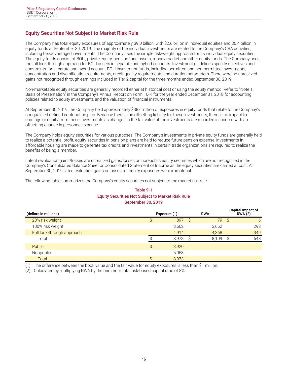#### <span id="page-17-0"></span>**Equity Securities Not Subject to Market Risk Rule**

The Company has total equity exposures of approximately \$9.0 billion, with \$2.6 billion in individual equities and \$6.4 billion in equity funds at September 30, 2019. The majority of the individual investments are related to the Company's CRA activities, including tax-advantaged investments. The Company uses the simple risk-weight approach for its individual equity securities. The equity funds consist of BOLI, private equity, pension fund assets, money market and other equity funds. The Company uses the full look-through approach for BOLI assets in separate and hybrid accounts. Investment guidelines specify objectives and constraints for separate and hybrid account BOLI investment funds, including permitted and non-permitted investments, concentration and diversification requirements, credit quality requirements and duration parameters. There were no unrealized gains not recognized through earnings included in Tier 2 capital for the three months ended September 30, 2019.

Non-marketable equity securities are generally recorded either at historical cost or using the equity method. Refer to "Note 1. Basis of Presentation" in the Company's Annual Report on Form 10-K for the year ended December 31, 2018 for accounting policies related to equity investments and the valuation of financial instruments.

At September 30, 2019, the Company held approximately \$387 million of exposures in equity funds that relate to the Company's nonqualified defined contribution plan. Because there is an offsetting liability for these investments, there is no impact to earnings or equity from these investments as changes in the fair value of the investments are recorded in income with an offsetting change in personnel expense.

The Company holds equity securities for various purposes. The Company's investments in private equity funds are generally held to realize a potential profit, equity securities in pension plans are held to reduce future pension expense, investments in affordable housing are made to generate tax credits and investments in certain trade organizations are required to realize the benefits of being a member.

Latent revaluation gains/losses are unrealized gains/losses on non-public equity securities which are not recognized in the Company's Consolidated Balance Sheet or Consolidated Statement of Income as the equity securities are carried at cost. At September 30, 2019, latent valuation gains or losses for equity exposures were immaterial.

The following table summarizes the Company's equity securities not subject to the market risk rule:

#### **Table 9-1 Equity Securities Not Subject to Market Risk Rule September 30, 2019**

| (dollars in millions)      |   | Exposure (1) | <b>RWA</b> |     | Capital impact of<br><b>RWA</b> (2) |
|----------------------------|---|--------------|------------|-----|-------------------------------------|
| 20% risk weight            |   | 397S         | 79         | - S | 6                                   |
| 100% risk weight           |   | 3,662        | 3,662      |     | 293                                 |
| Full look-through approach |   | 4.914        | 4,368      |     | 349                                 |
| Total                      |   | 8.973        | 8.109      |     | 648                                 |
| <b>Public</b>              | Ŝ | 3,920        |            |     |                                     |
| Nonpublic                  |   | 5,053        |            |     |                                     |
| Total                      |   | 8,973        |            |     |                                     |

The difference between the book value and the fair value for equity exposures is less than \$1 million.

(2) Calculated by multiplying RWA by the minimum total risk-based capital ratio of 8%.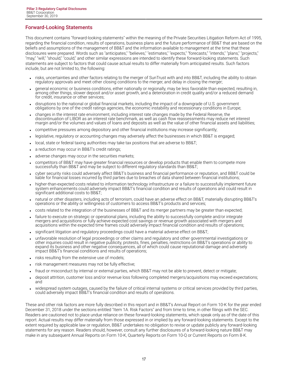## <span id="page-18-0"></span>**Forward-Looking Statements**

This document contains "forward-looking statements" within the meaning of the Private Securities Litigation Reform Act of 1995, regarding the financial condition, results of operations, business plans and the future performance of BB&T that are based on the beliefs and assumptions of the management of BB&T and the information available to management at the time that these disclosures were prepared. Words such as "anticipates," "believes," "estimates," "expects," "forecasts," "intends," "plans," "projects," "may," "will," "should," "could," and other similar expressions are intended to identify these forward-looking statements. Such statements are subject to factors that could cause actual results to differ materially from anticipated results. Such factors include, but are not limited to, the following:

- risks, uncertainties and other factors relating to the merger of SunTrust with and into BB&T, including the ability to obtain regulatory approvals and meet other closing conditions to the merger, and delay in closing the merger;
- general economic or business conditions, either nationally or regionally, may be less favorable than expected, resulting in, among other things, slower deposit and/or asset growth, and a deterioration in credit quality and/or a reduced demand for credit, insurance or other services;
- disruptions to the national or global financial markets, including the impact of a downgrade of U.S. government obligations by one of the credit ratings agencies, the economic instability and recessionary conditions in Europe;
- <sup>l</sup> changes in the interest rate environment, including interest rate changes made by the Federal Reserve, the discontinuation of LIBOR as an interest rate benchmark, as well as cash flow reassessments may reduce net interest margin and/or the volumes and values of loans and deposits as well as the value of other financial assets and liabilities;
- <sup>l</sup> competitive pressures among depository and other financial institutions may increase significantly;
- legislative, regulatory or accounting changes may adversely affect the businesses in which BB&T is engaged;
- local, state or federal taxing authorities may take tax positions that are adverse to BB&T;
- a reduction may occur in BB&T's credit ratings;
- adverse changes may occur in the securities markets;
- competitors of BB&T may have greater financial resources or develop products that enable them to compete more successfully than BB&T and may be subject to different regulatory standards than BB&T;
- cyber security risks could adversely affect BB&T's business and financial performance or reputation, and BB&T could be liable for financial losses incurred by third parties due to breaches of data shared between financial institutions;
- higher-than-expected costs related to information technology infrastructure or a failure to successfully implement future system enhancements could adversely impact BB&T's financial condition and results of operations and could result in significant additional costs to BB&T;
- <sup>l</sup> natural or other disasters, including acts of terrorism, could have an adverse effect on BB&T, materially disrupting BB&T's operations or the ability or willingness of customers to access BB&T's products and services;
- costs related to the integration of the businesses of BB&T and its merger partners may be greater than expected;
- failure to execute on strategic or operational plans, including the ability to successfully complete and/or integrate mergers and acquisitions or fully achieve expected cost savings or revenue growth associated with mergers and acquisitions within the expected time frames could adversely impact financial condition and results of operations;
- significant litigation and regulatory proceedings could have a material adverse effect on BB&T;
- unfavorable resolution of legal proceedings or other claims and regulatory and other governmental investigations or other inquiries could result in negative publicity, protests, fines, penalties, restrictions on BB&T's operations or ability to expand its business and other negative consequences, all of which could cause reputational damage and adversely impact BB&T's financial conditions and results of operations;
- . risks resulting from the extensive use of models;
- risk management measures may not be fully effective;
- fraud or misconduct by internal or external parties, which BB&T may not be able to prevent, detect or mitigate;
- deposit attrition, customer loss and/or revenue loss following completed mergers/acquisitions may exceed expectations; and
- widespread system outages, caused by the failure of critical internal systems or critical services provided by third parties, could adversely impact BB&T's financial condition and results of operations.

These and other risk factors are more fully described in this report and in BB&T's Annual Report on Form 10-K for the year ended December 31, 2018 under the sections entitled "Item 1A. Risk Factors" and from time to time, in other filings with the SEC. Readers are cautioned not to place undue reliance on these forward-looking statements, which speak only as of the date of this report. Actual results may differ materially from those expressed in or implied by any forward-looking statements. Except to the extent required by applicable law or regulation, BB&T undertakes no obligation to revise or update publicly any forward-looking statements for any reason. Readers should, however, consult any further disclosures of a forward-looking nature BB&T may make in any subsequent Annual Reports on Form 10-K, Quarterly Reports on Form 10-Q or Current Reports on Form 8-K.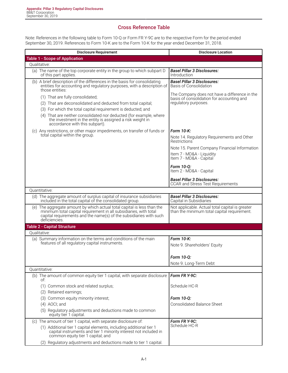# **Cross Reference Table**

<span id="page-19-0"></span>Note: References in the following table to Form 10-Q or Form FR Y-9C are to the respective Form for the period ended September 30, 2019. References to Form 10-K are to the Form 10-K for the year ended December 31, 2018.

| <b>Disclosure Requirement</b>                                                                                                                                                                                                                                                                                                         | <b>Disclosure Location</b>                                                                                         |
|---------------------------------------------------------------------------------------------------------------------------------------------------------------------------------------------------------------------------------------------------------------------------------------------------------------------------------------|--------------------------------------------------------------------------------------------------------------------|
| <b>Table 1 - Scope of Application</b>                                                                                                                                                                                                                                                                                                 |                                                                                                                    |
| Oualitative:                                                                                                                                                                                                                                                                                                                          |                                                                                                                    |
| (a) The name of the top corporate entity in the group to which subpart D<br>of this part applies.                                                                                                                                                                                                                                     | <b>Basel Pillar 3 Disclosures:</b><br>Introduction                                                                 |
| (b) A brief description of the differences in the basis for consolidating<br>entities for accounting and regulatory purposes, with a description of<br>those entities:                                                                                                                                                                | <b>Basel Pillar 3 Disclosures:</b><br><b>Basis of Consolidation</b>                                                |
| (1) That are fully consolidated;<br>(2) That are deconsolidated and deducted from total capital;<br>(3) For which the total capital requirement is deducted; and<br>(4) That are neither consolidated nor deducted (for example, where<br>the investment in the entity is assigned a risk weight in<br>accordance with this subpart). | The Company does not have a difference in the<br>basis of consolidation for accounting and<br>regulatory purposes. |
| (c) Any restrictions, or other major impediments, on transfer of funds or<br>total capital within the group.                                                                                                                                                                                                                          | Form 10-K:<br>Note 14. Regulatory Requirements and Other                                                           |
|                                                                                                                                                                                                                                                                                                                                       | Restrictions<br>Note 15. Parent Company Financial Information                                                      |
|                                                                                                                                                                                                                                                                                                                                       | Item 7 - MD&A - Liquidity<br>Item 7 - MD&A - Capital                                                               |
|                                                                                                                                                                                                                                                                                                                                       | Form 10-Q:<br>Item 2 - MD&A - Capital                                                                              |
|                                                                                                                                                                                                                                                                                                                                       | <b>Basel Pillar 3 Disclosures:</b><br><b>CCAR and Stress Test Requirements</b>                                     |
| Quantitative:                                                                                                                                                                                                                                                                                                                         |                                                                                                                    |
| (d) The aggregate amount of surplus capital of insurance subsidiaries<br>included in the total capital of the consolidated group.                                                                                                                                                                                                     | <b>Basel Pillar 3 Disclosures:</b><br>Capital in Subsidiaries                                                      |
| (e) The aggregate amount by which actual total capital is less than the<br>minimum total capital requirement in all subsidiaries, with total<br>capital requirements and the name(s) of the subsidiaries with such<br>deficiencies.                                                                                                   | Not applicable. Actual total capital is greater<br>than the minimum total capital requirement.                     |
| <b>Table 2 - Capital Structure</b>                                                                                                                                                                                                                                                                                                    |                                                                                                                    |
| Oualitative:                                                                                                                                                                                                                                                                                                                          |                                                                                                                    |
| (a) Summary information on the terms and conditions of the main<br>features of all regulatory capital instruments.                                                                                                                                                                                                                    | Form 10-K:<br>Note 9. Shareholders' Equity                                                                         |
|                                                                                                                                                                                                                                                                                                                                       | Form 10-0:                                                                                                         |
| Ouantitative:                                                                                                                                                                                                                                                                                                                         | Note 9. Long-Term Debt                                                                                             |
| (b) The amount of common equity tier 1 capital, with separate disclosure                                                                                                                                                                                                                                                              | Form FR Y-9C:                                                                                                      |
| of:                                                                                                                                                                                                                                                                                                                                   |                                                                                                                    |
| (1) Common stock and related surplus;                                                                                                                                                                                                                                                                                                 | Schedule HC-R                                                                                                      |
| (2) Retained earnings;                                                                                                                                                                                                                                                                                                                |                                                                                                                    |
| (3) Common equity minority interest;                                                                                                                                                                                                                                                                                                  | Form 10-Q:                                                                                                         |
| $(4)$ AOCI; and                                                                                                                                                                                                                                                                                                                       | <b>Consolidated Balance Sheet</b>                                                                                  |
| (5) Regulatory adjustments and deductions made to common<br>equity tier 1 capital.                                                                                                                                                                                                                                                    |                                                                                                                    |
| (c) The amount of tier 1 capital, with separate disclosure of:                                                                                                                                                                                                                                                                        | Form FR Y-9C:                                                                                                      |
| (1) Additional tier 1 capital elements, including additional tier 1<br>capital instruments and tier 1 minority interest not included in<br>common equity tier 1 capital; and                                                                                                                                                          | Schedule HC-R                                                                                                      |
| (2) Regulatory adjustments and deductions made to tier 1 capital.                                                                                                                                                                                                                                                                     |                                                                                                                    |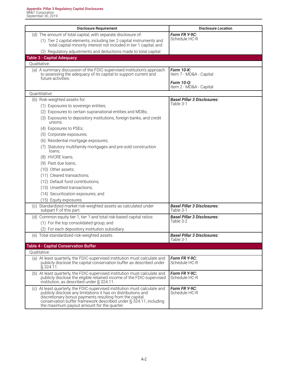| <b>Disclosure Requirement</b>                                                                                                                                                                                                                                                                                             | <b>Disclosure Location</b>                          |
|---------------------------------------------------------------------------------------------------------------------------------------------------------------------------------------------------------------------------------------------------------------------------------------------------------------------------|-----------------------------------------------------|
| (d) The amount of total capital, with separate disclosure of:                                                                                                                                                                                                                                                             | Form FR Y-9C:                                       |
| (1) Tier 2 capital elements, including tier 2 capital instruments and<br>total capital minority interest not included in tier 1 capital; and                                                                                                                                                                              | Schedule HC-R                                       |
| (2) Regulatory adjustments and deductions made to total capital.                                                                                                                                                                                                                                                          |                                                     |
| <b>Table 3 - Capital Adequacy</b>                                                                                                                                                                                                                                                                                         |                                                     |
| Qualitative:                                                                                                                                                                                                                                                                                                              |                                                     |
| (a) A summary discussion of the FDIC-supervised institution's approach<br>to assessing the adequacy of its capital to support current and<br>future activities.                                                                                                                                                           | Form 10-K:<br>Item 7 - MD&A - Capital<br>Form 10-0: |
|                                                                                                                                                                                                                                                                                                                           | Item 2 - MD&A - Capital                             |
| Quantitative:                                                                                                                                                                                                                                                                                                             |                                                     |
| (b) Risk-weighted assets for:                                                                                                                                                                                                                                                                                             | <b>Basel Pillar 3 Disclosures:</b><br>Table 3-1     |
| (1) Exposures to sovereign entities;                                                                                                                                                                                                                                                                                      |                                                     |
| (2) Exposures to certain supranational entities and MDBs;                                                                                                                                                                                                                                                                 |                                                     |
| (3) Exposures to depository institutions, foreign banks, and credit<br>unions;                                                                                                                                                                                                                                            |                                                     |
| (4) Exposures to PSEs;                                                                                                                                                                                                                                                                                                    |                                                     |
| (5) Corporate exposures;                                                                                                                                                                                                                                                                                                  |                                                     |
| (6) Residential mortgage exposures;                                                                                                                                                                                                                                                                                       |                                                     |
| (7) Statutory multifamily mortgages and pre-sold construction<br>loans;                                                                                                                                                                                                                                                   |                                                     |
| (8) HVCRE loans;                                                                                                                                                                                                                                                                                                          |                                                     |
| (9) Past due loans;                                                                                                                                                                                                                                                                                                       |                                                     |
| (10) Other assets;                                                                                                                                                                                                                                                                                                        |                                                     |
| (11) Cleared transactions;                                                                                                                                                                                                                                                                                                |                                                     |
| (12) Default fund contributions;                                                                                                                                                                                                                                                                                          |                                                     |
| (13) Unsettled transactions;                                                                                                                                                                                                                                                                                              |                                                     |
| (14) Securitization exposures; and                                                                                                                                                                                                                                                                                        |                                                     |
| (15) Equity exposures.                                                                                                                                                                                                                                                                                                    |                                                     |
| (c) Standardized market risk-weighted assets as calculated under<br>subpart F of this part.                                                                                                                                                                                                                               | <b>Basel Pillar 3 Disclosures:</b><br>Table 3-1     |
| (d) Common equity tier 1, tier 1 and total risk-based capital ratios:                                                                                                                                                                                                                                                     | <b>Basel Pillar 3 Disclosures:</b>                  |
| (1) For the top consolidated group; and                                                                                                                                                                                                                                                                                   | Table 3-2                                           |
| (2) For each depository institution subsidiary.                                                                                                                                                                                                                                                                           |                                                     |
| (e) Total standardized risk-weighted assets.                                                                                                                                                                                                                                                                              | <b>Basel Pillar 3 Disclosures:</b><br>Table 3-1     |
| <b>Table 4 - Capital Conservation Buffer</b>                                                                                                                                                                                                                                                                              |                                                     |
| Qualitative:                                                                                                                                                                                                                                                                                                              |                                                     |
| (a) At least quarterly, the FDIC-supervised institution must calculate and<br>publicly disclose the capital conservation buffer as described under<br>$\S$ 324.11.                                                                                                                                                        | Form FR Y-9C:<br>Schedule HC-R                      |
| (b) At least quarterly, the FDIC-supervised institution must calculate and<br>publicly disclose the eligible retained income of the FDIC-supervised<br>institution, as described under § 324.11.                                                                                                                          | Form FR Y-9C:<br>Schedule HC-R                      |
| (c) At least quarterly, the FDIC-supervised institution must calculate and<br>publicly disclose any limitations it has on distributions and<br>discretionary bonus payments resulting from the capital<br>conservation buffer framework described under § 324.11, including<br>the maximum payout amount for the quarter. | Form FR Y-9C:<br>Schedule HC-R                      |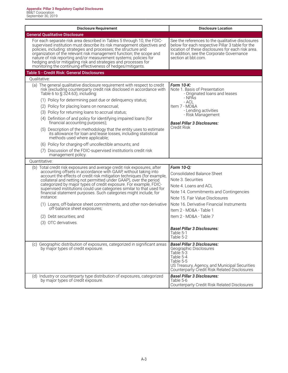| <b>Disclosure Requirement</b>                                                                                                                                                                                                                                                                                                                                                                                                                                                                                                                                                                                                   | <b>Disclosure Location</b>                                                                                                                                                                                                                          |
|---------------------------------------------------------------------------------------------------------------------------------------------------------------------------------------------------------------------------------------------------------------------------------------------------------------------------------------------------------------------------------------------------------------------------------------------------------------------------------------------------------------------------------------------------------------------------------------------------------------------------------|-----------------------------------------------------------------------------------------------------------------------------------------------------------------------------------------------------------------------------------------------------|
| <b>General Qualitative Disclosure</b>                                                                                                                                                                                                                                                                                                                                                                                                                                                                                                                                                                                           |                                                                                                                                                                                                                                                     |
| For each separate risk area described in Tables 5 through 10, the FDIC-<br>supervised institution must describe its risk management objectives and<br>policies, including: strategies and processes; the structure and<br>organization of the relevant risk management function; the scope and<br>nature of risk reporting and/or measurement systems; policies for<br>hedging and/or mitigating risk and strategies and processes for<br>monitoring the continuing effectiveness of hedges/mitigants.                                                                                                                          | See the references to the qualitative disclosures<br>below for each respective Pillar 3 table for the<br>location of these disclosures for each risk area.<br>In addition, see the Corporate Governance<br>section at bbt.com.                      |
| Table 5 - Credit Risk: General Disclosures                                                                                                                                                                                                                                                                                                                                                                                                                                                                                                                                                                                      |                                                                                                                                                                                                                                                     |
| Oualitative:                                                                                                                                                                                                                                                                                                                                                                                                                                                                                                                                                                                                                    |                                                                                                                                                                                                                                                     |
| (a) The general qualitative disclosure requirement with respect to credit<br>risk (excluding counterparty credit risk disclosed in accordance with<br>Table 6 to $\S$ 324.63), including:                                                                                                                                                                                                                                                                                                                                                                                                                                       | Form 10-K:<br>Note 1. Basis of Presentation<br>- Originated loans and leases                                                                                                                                                                        |
| (1) Policy for determining past due or delinquency status;                                                                                                                                                                                                                                                                                                                                                                                                                                                                                                                                                                      | - NPÀs<br>- ACL                                                                                                                                                                                                                                     |
| (2) Policy for placing loans on nonaccrual;                                                                                                                                                                                                                                                                                                                                                                                                                                                                                                                                                                                     | Item 7 - MD&A                                                                                                                                                                                                                                       |
| (3) Policy for returning loans to accrual status;                                                                                                                                                                                                                                                                                                                                                                                                                                                                                                                                                                               | - Lending activities<br>- Risk Management                                                                                                                                                                                                           |
| (4) Definition of and policy for identifying impaired loans (for<br>financial accounting purposes);                                                                                                                                                                                                                                                                                                                                                                                                                                                                                                                             | <b>Basel Pillar 3 Disclosures:</b>                                                                                                                                                                                                                  |
| (5) Description of the methodology that the entity uses to estimate<br>its allowance for loan and lease losses, including statistical<br>methods used where applicable;                                                                                                                                                                                                                                                                                                                                                                                                                                                         | Credit Risk                                                                                                                                                                                                                                         |
| (6) Policy for charging-off uncollectible amounts; and                                                                                                                                                                                                                                                                                                                                                                                                                                                                                                                                                                          |                                                                                                                                                                                                                                                     |
| (7) Discussion of the FDIC-supervised institution's credit risk<br>management policy.                                                                                                                                                                                                                                                                                                                                                                                                                                                                                                                                           |                                                                                                                                                                                                                                                     |
| Quantitative:                                                                                                                                                                                                                                                                                                                                                                                                                                                                                                                                                                                                                   |                                                                                                                                                                                                                                                     |
| (b) Total credit risk exposures and average credit risk exposures, after<br>accounting offsets in accordance with GAAP, without taking into<br>account the effects of credit risk mitigation techniques (for example,<br>collateral and netting not permitted under GAAP), over the period<br>categorized by major types of credit exposure. For example, FDIC-<br>supervised institutions could use categories similar to that used for<br>financial statement purposes. Such categories might include, for<br>instance:<br>(1) Loans, off-balance sheet commitments, and other non-derivative<br>off-balance sheet exposures; | Form 10-Q:<br><b>Consolidated Balance Sheet</b><br>Note 3. Securities<br>Note 4. Loans and ACL<br>Note 14. Commitments and Contingencies<br>Note 15. Fair Value Disclosures<br>Note 16. Derivative Financial Instruments<br>Item 2 - MD&A - Table 1 |
| (2) Debt securities; and                                                                                                                                                                                                                                                                                                                                                                                                                                                                                                                                                                                                        | Item 2 - MD&A - Table 7                                                                                                                                                                                                                             |
| (3) OTC derivatives.                                                                                                                                                                                                                                                                                                                                                                                                                                                                                                                                                                                                            |                                                                                                                                                                                                                                                     |
|                                                                                                                                                                                                                                                                                                                                                                                                                                                                                                                                                                                                                                 | <b>Basel Pillar 3 Disclosures:</b><br>Table 5-1<br>Table 5-2                                                                                                                                                                                        |
| (c) Geographic distribution of exposures, categorized in significant areas<br>by major types of credit exposure.                                                                                                                                                                                                                                                                                                                                                                                                                                                                                                                | <b>Basel Pillar 3 Disclosures:</b><br>Geographic Disclosures<br>Table 5-3<br>Table 5-4<br>Table 5-5<br>US Treasury, Agency, and Municipal Securities<br>Counterparty Credit Risk Related Disclosures                                                |
| (d) Industry or counterparty type distribution of exposures, categorized<br>by major types of credit exposure.                                                                                                                                                                                                                                                                                                                                                                                                                                                                                                                  | <b>Basel Pillar 3 Disclosures:</b><br>Table 5-6<br>Counterparty Credit Risk Related Disclosures                                                                                                                                                     |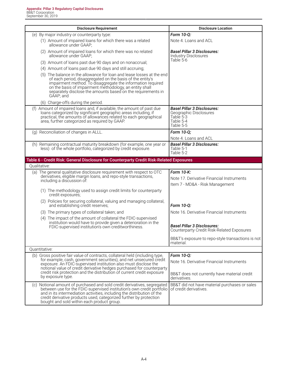| <b>Disclosure Requirement</b>                                                                                                                                                                                                                                                                                                                                             | <b>Disclosure Location</b>                                                                          |
|---------------------------------------------------------------------------------------------------------------------------------------------------------------------------------------------------------------------------------------------------------------------------------------------------------------------------------------------------------------------------|-----------------------------------------------------------------------------------------------------|
| (e) By major industry or counterparty type:                                                                                                                                                                                                                                                                                                                               | Form 10-Q:                                                                                          |
| (1) Amount of impaired loans for which there was a related<br>allowance under GAAP;                                                                                                                                                                                                                                                                                       | Note 4. Loans and ACL                                                                               |
| (2) Amount of impaired loans for which there was no related<br>allowance under GAAP;                                                                                                                                                                                                                                                                                      | <b>Basel Pillar 3 Disclosures:</b><br><b>Industry Disclosures</b>                                   |
| (3) Amount of loans past due 90 days and on nonaccrual;                                                                                                                                                                                                                                                                                                                   | Table 5-6                                                                                           |
| (4) Amount of loans past due 90 days and still accruing;                                                                                                                                                                                                                                                                                                                  |                                                                                                     |
| (5) The balance in the allowance for loan and lease losses at the end<br>of each period, disaggregated on the basis of the entity's<br>impairment method. To disaggregate the information required<br>on the basis of impairment methodology, an entity shall<br>separately disclose the amounts based on the requirements in<br>GAAP; and                                |                                                                                                     |
| (6) Charge-offs during the period.                                                                                                                                                                                                                                                                                                                                        |                                                                                                     |
| (f) Amount of impaired loans and, if available, the amount of past due<br>loans categorized by significant geographic areas including, if<br>practical, the amounts of allowances related to each geographical<br>area, further categorized as required by GAAP.                                                                                                          | <b>Basel Pillar 3 Disclosures:</b><br>Geographic Disclosures<br>Table 5-3<br>Table 5-4<br>Table 5-5 |
| (g) Reconciliation of changes in ALLL.                                                                                                                                                                                                                                                                                                                                    | Form 10-Q;                                                                                          |
|                                                                                                                                                                                                                                                                                                                                                                           | Note 4. Loans and ACL                                                                               |
| (h) Remaining contractual maturity breakdown (for example, one year or<br>less) of the whole portfolio, categorized by credit exposure.                                                                                                                                                                                                                                   | <b>Basel Pillar 3 Disclosures:</b><br>Table 5-1<br>Table 5-2                                        |
| Table 6 - Credit Risk: General Disclosure for Counterparty Credit Risk-Related Exposures                                                                                                                                                                                                                                                                                  |                                                                                                     |
| Oualitative:                                                                                                                                                                                                                                                                                                                                                              |                                                                                                     |
| (a) The general qualitative disclosure requirement with respect to OTC<br>derivatives, eligible margin loans, and repo-style transactions,<br>including a discussion of:                                                                                                                                                                                                  | Form 10-K:<br>Note 17. Derivative Financial Instruments<br>Item 7 - MD&A - Risk Management          |
| (1) The methodology used to assign credit limits for counterparty<br>credit exposures;                                                                                                                                                                                                                                                                                    |                                                                                                     |
| (2) Policies for securing collateral, valuing and managing collateral,<br>and establishing credit reserves;                                                                                                                                                                                                                                                               | Form 10-0:                                                                                          |
| (3) The primary types of collateral taken; and                                                                                                                                                                                                                                                                                                                            | Note 16. Derivative Financial Instruments                                                           |
| (4) The impact of the amount of collateral the FDIC-supervised<br>institution would have to provide given a deterioration in the<br>FDIC-supervised institution's own creditworthiness.                                                                                                                                                                                   | Basel Pillar 3 Disclosures:<br>Counterparty Credit Risk-Related Exposures                           |
|                                                                                                                                                                                                                                                                                                                                                                           | BB&T's exposure to repo-style transactions is not<br>material.                                      |
| Quantitative:                                                                                                                                                                                                                                                                                                                                                             |                                                                                                     |
| (b) Gross positive fair value of contracts, collateral held (including type,<br>for example, cash, government securities), and net unsecured credit<br>exposure. An FDIC-supervised institution also must disclose the<br>notional value of credit derivative hedges purchased for counterparty<br>credit risk protection and the distribution of current credit exposure | Form 10-Q:<br>Note 16. Derivative Financial Instruments                                             |
| by exposure type.                                                                                                                                                                                                                                                                                                                                                         | BB&T does not currently have material credit<br>derivatives.                                        |
| Notional amount of purchased and sold credit derivatives, segregated<br>(C)<br>between use for the FDIC-supervised institution's own credit portfolio<br>and in its intermediation activities, including the distribution of the<br>credit derivative products used, categorized further by protection<br>bought and sold within each product group.                      | BB&T did not have material purchases or sales<br>of credit derivatives.                             |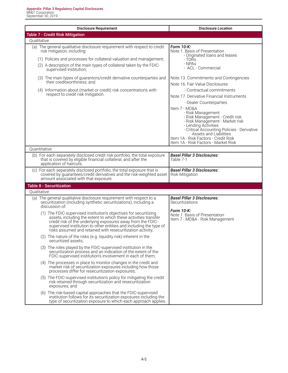| <b>Disclosure Requirement</b>                                                                                                                                                                                                                                                                                                                               | <b>Disclosure Location</b>                                                                                                                                                                                                                                                                                                                                                                     |
|-------------------------------------------------------------------------------------------------------------------------------------------------------------------------------------------------------------------------------------------------------------------------------------------------------------------------------------------------------------|------------------------------------------------------------------------------------------------------------------------------------------------------------------------------------------------------------------------------------------------------------------------------------------------------------------------------------------------------------------------------------------------|
| <b>Table 7 - Credit Risk Mitigation</b>                                                                                                                                                                                                                                                                                                                     |                                                                                                                                                                                                                                                                                                                                                                                                |
| Qualitative:                                                                                                                                                                                                                                                                                                                                                |                                                                                                                                                                                                                                                                                                                                                                                                |
| (a) The general qualitative disclosure requirement with respect to credit<br>risk mitigation, including:<br>(1) Policies and processes for collateral valuation and management;<br>(2) A description of the main types of collateral taken by the FDIC-<br>supervised institution;<br>(3) The main types of guarantors/credit derivative counterparties and | Form 10-K:<br>Note 1. Basis of Presentation<br>- Originated loans and leases<br>- TDRs<br>- NPAs<br>- ACL - Commercial<br>Note 13. Commitments and Contingencies                                                                                                                                                                                                                               |
| their creditworthiness; and                                                                                                                                                                                                                                                                                                                                 | Note 16. Fair Value Disclosures                                                                                                                                                                                                                                                                                                                                                                |
| (4) Information about (market or credit) risk concentrations with<br>respect to credit risk mitigation.                                                                                                                                                                                                                                                     | - Contractual commitments<br>Note 17. Derivative Financial Instruments<br>- Dealer Counterparties<br>Item 7 - MD&A<br>- Risk Management<br>- Risk Management - Credit risk<br>- Risk Management - Market risk<br>- Lending Activities<br>- Critical Accounting Policies - Derivative<br>Assets and Liabilities<br>Item 1A - Risk Factors - Credit Risk<br>Item 1A - Risk Factors - Market Risk |
| Ouantitative:                                                                                                                                                                                                                                                                                                                                               |                                                                                                                                                                                                                                                                                                                                                                                                |
| (b) For each separately disclosed credit risk portfolio, the total exposure<br>that is covered by eligible financial collateral, and after the<br>application of haircuts.                                                                                                                                                                                  | <b>Basel Pillar 3 Disclosures:</b><br>Table 7-1                                                                                                                                                                                                                                                                                                                                                |
| (c) For each separately disclosed portfolio, the total exposure that is<br>covered by guarantees/credit derivatives and the risk-weighted asset<br>amount associated with that exposure.                                                                                                                                                                    | <b>Basel Pillar 3 Disclosures:</b><br><b>Risk Mitigation</b>                                                                                                                                                                                                                                                                                                                                   |
| <b>Table 8 - Securitization</b>                                                                                                                                                                                                                                                                                                                             |                                                                                                                                                                                                                                                                                                                                                                                                |
| Qualitative:                                                                                                                                                                                                                                                                                                                                                |                                                                                                                                                                                                                                                                                                                                                                                                |
| (a) The general qualitative disclosure requirement with respect to a<br>securitization (including synthetic securitizations), including a<br>discussion of:                                                                                                                                                                                                 | <b>Basel Pillar 3 Disclosures:</b><br>Securitizations                                                                                                                                                                                                                                                                                                                                          |
| (1) The FDIC-supervised institution's objectives for securitizing<br>assets, including the extent to which these activities transfer<br>credit risk of the underlying exposures away from the FDIC-<br>supervised institution to other entities and including the type of<br>risks assumed and retained with resecuritization activity;                     | <b>Form 10-K:</b><br>Note 1. Basis of Presentation<br>Item 7 - MD&A - Risk Management                                                                                                                                                                                                                                                                                                          |
| (2) The nature of the risks (e.g. liquidity risk) inherent in the<br>securitized assets:                                                                                                                                                                                                                                                                    |                                                                                                                                                                                                                                                                                                                                                                                                |
| (3) The roles played by the FDIC-supervised institution in the<br>securitization process and an indication of the extent of the<br>FDIC-supervised institution's involvement in each of them;                                                                                                                                                               |                                                                                                                                                                                                                                                                                                                                                                                                |
| (4) The processes in place to monitor changes in the credit and<br>market risk of securitization exposures including how those<br>processes differ for resecuritization exposures;                                                                                                                                                                          |                                                                                                                                                                                                                                                                                                                                                                                                |
| (5) The FDIC-supervised institution's policy for mitigating the credit<br>risk retained through securitization and resecuritization<br>exposures; and                                                                                                                                                                                                       |                                                                                                                                                                                                                                                                                                                                                                                                |
| (6) The risk-based capital approaches that the FDIC-supervised<br>institution follows for its securitization exposures including the<br>type of securitization exposure to which each approach applies.                                                                                                                                                     |                                                                                                                                                                                                                                                                                                                                                                                                |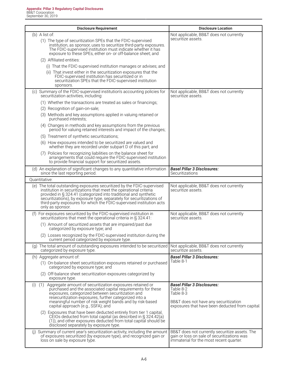| <b>Disclosure Requirement</b>                                                                                                                                                                                                                                                                                                                                                        | <b>Disclosure Location</b>                                                                                                                               |
|--------------------------------------------------------------------------------------------------------------------------------------------------------------------------------------------------------------------------------------------------------------------------------------------------------------------------------------------------------------------------------------|----------------------------------------------------------------------------------------------------------------------------------------------------------|
| $(b)$ A list of:                                                                                                                                                                                                                                                                                                                                                                     | Not applicable, BB&T does not currently                                                                                                                  |
| (1) The type of securitization SPEs that the FDIC-supervised<br>institution, as sponsor, uses to securitize third-party exposures.<br>The FDIC-supervised institution must indicate whether it has<br>exposure to these SPEs, either on- or off-balance sheet; and                                                                                                                   | securitize assets.                                                                                                                                       |
| (2) Affiliated entities:                                                                                                                                                                                                                                                                                                                                                             |                                                                                                                                                          |
| (i) That the FDIC-supervised institution manages or advises; and                                                                                                                                                                                                                                                                                                                     |                                                                                                                                                          |
| (ii) That invest either in the securitization exposures that the<br>FDIC-supervised institution has securitized or in<br>securitization SPEs that the FDIC-supervised institution<br>sponsors.                                                                                                                                                                                       |                                                                                                                                                          |
| (c) Summary of the FDIC-supervised institution's accounting policies for<br>securitization activities, including:                                                                                                                                                                                                                                                                    | Not applicable, BB&T does not currently<br>securitize assets.                                                                                            |
| (1) Whether the transactions are treated as sales or financings;                                                                                                                                                                                                                                                                                                                     |                                                                                                                                                          |
| (2) Recognition of gain-on-sale;                                                                                                                                                                                                                                                                                                                                                     |                                                                                                                                                          |
| (3) Methods and key assumptions applied in valuing retained or<br>purchased interests;                                                                                                                                                                                                                                                                                               |                                                                                                                                                          |
| (4) Changes in methods and key assumptions from the previous<br>period for valuing retained interests and impact of the changes;                                                                                                                                                                                                                                                     |                                                                                                                                                          |
| (5) Treatment of synthetic securitizations;                                                                                                                                                                                                                                                                                                                                          |                                                                                                                                                          |
| (6) How exposures intended to be securitized are valued and<br>whether they are recorded under subpart D of this part; and                                                                                                                                                                                                                                                           |                                                                                                                                                          |
| (7) Policies for recognizing liabilities on the balance sheet for<br>arrangements that could require the FDIC-supervised institution<br>to provide financial support for securitized assets.                                                                                                                                                                                         |                                                                                                                                                          |
| (d) An explanation of significant changes to any quantitative information<br>since the last reporting period.                                                                                                                                                                                                                                                                        | <b>Basel Pillar 3 Disclosures:</b><br>Securitizations                                                                                                    |
| Quantitative:                                                                                                                                                                                                                                                                                                                                                                        |                                                                                                                                                          |
| (e) The total outstanding exposures securitized by the FDIC-supervised<br>institution in securitizations that meet the operational criteria<br>provided in § 324.41 (categorized into traditional and synthetic<br>securitizations), by exposure type, separately for securitizations of<br>third-party exposures for which the FDIC-supervised institution acts<br>only as sponsor. | Not applicable, BB&T does not currently<br>securitize assets.                                                                                            |
| (f) For exposures securitized by the FDIC-supervised institution in<br>securitizations that meet the operational criteria in § 324.41:                                                                                                                                                                                                                                               | Not applicable, BB&T does not currently<br>securitize assets.                                                                                            |
| (1) Amount of securitized assets that are impaired/past due<br>categorized by exposure type; and                                                                                                                                                                                                                                                                                     |                                                                                                                                                          |
| (2) Losses recognized by the FDIC-supervised institution during the<br>current period categorized by exposure type.                                                                                                                                                                                                                                                                  |                                                                                                                                                          |
| (g) The total amount of outstanding exposures intended to be securitized<br>categorized by exposure type.                                                                                                                                                                                                                                                                            | Not applicable, BB&T does not currently<br>securitize assets.                                                                                            |
| (h) Aggregate amount of:                                                                                                                                                                                                                                                                                                                                                             | <b>Basel Pillar 3 Disclosures:</b>                                                                                                                       |
| (1) On-balance sheet securitization exposures retained or purchased<br>categorized by exposure type; and                                                                                                                                                                                                                                                                             | Table 8-1                                                                                                                                                |
| (2) Off-balance sheet securitization exposures categorized by<br>exposure type.                                                                                                                                                                                                                                                                                                      |                                                                                                                                                          |
| (1) Aggregate amount of securitization exposures retained or<br>(i)<br>purchased and the associated capital requirements for these<br>exposures, categorized between securitization and<br>resecuritization exposures, further categorized into a<br>meaningful number of risk weight bands and by risk-based<br>capital approach (e.g., SSFA); and                                  | <b>Basel Pillar 3 Disclosures:</b><br>Table 8-2<br>Table 8-3<br>BB&T does not have any securitization<br>exposures that have been deducted from capital. |
| (2) Exposures that have been deducted entirely from tier 1 capital,<br>CEIOs deducted from total capital (as described in § 324.42(a)<br>(1)), and other exposures deducted from total capital should be<br>disclosed separately by exposure type.                                                                                                                                   |                                                                                                                                                          |
| (j) Summary of current year's securitization activity, including the amount<br>of exposures securitized (by exposure type), and recognized gain or<br>loss on sale by exposure type.                                                                                                                                                                                                 | BB&T does not currently securitize assets. The<br>gain or loss on sale of securitizations was<br>immaterial for the most recent quarter.                 |